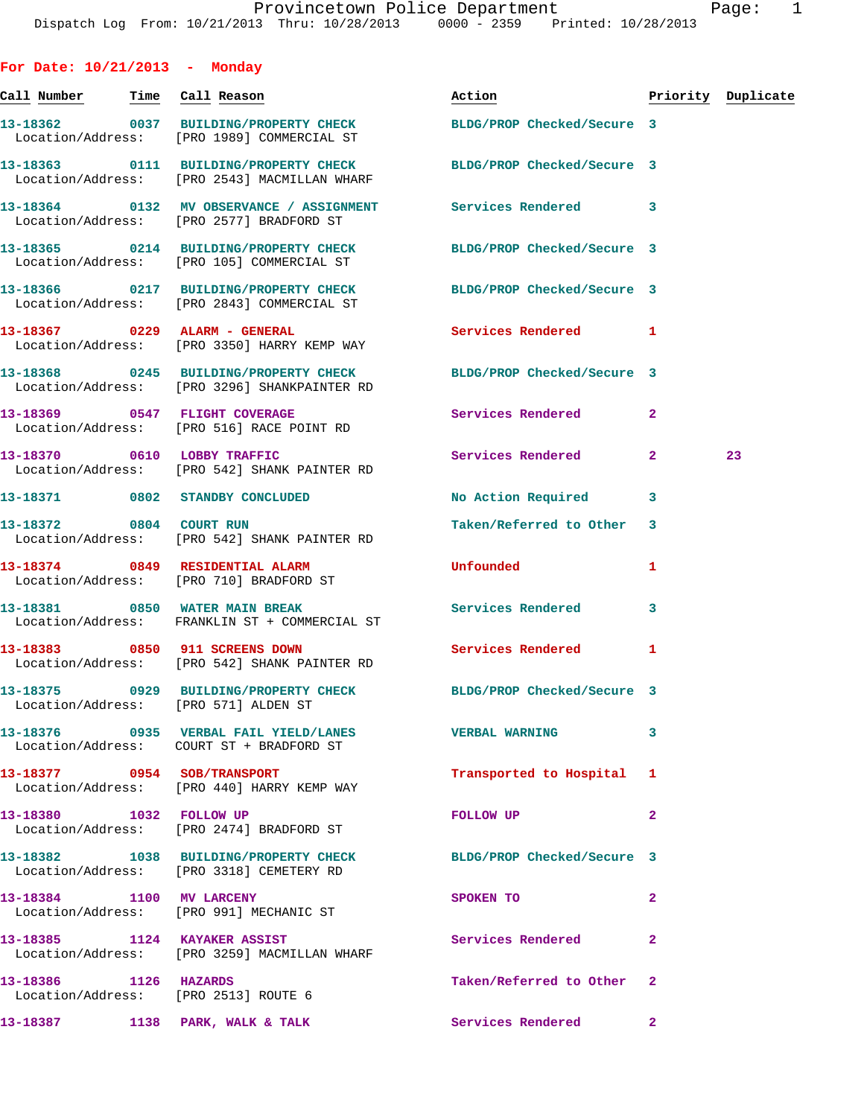| For Date: $10/21/2013$ - Monday                               |                                                                                                                  |                            |                |                    |
|---------------------------------------------------------------|------------------------------------------------------------------------------------------------------------------|----------------------------|----------------|--------------------|
| Call Number <mark>Time</mark> Call Reason                     |                                                                                                                  | Action <b>Action</b>       |                | Priority Duplicate |
|                                                               | 13-18362 0037 BUILDING/PROPERTY CHECK BLDG/PROP Checked/Secure 3<br>Location/Address: [PRO 1989] COMMERCIAL ST   |                            |                |                    |
|                                                               | 13-18363 0111 BUILDING/PROPERTY CHECK BLDG/PROP Checked/Secure 3<br>Location/Address: [PRO 2543] MACMILLAN WHARF |                            |                |                    |
|                                                               | 13-18364 0132 MV OBSERVANCE / ASSIGNMENT Services Rendered 3<br>Location/Address: [PRO 2577] BRADFORD ST         |                            |                |                    |
|                                                               | 13-18365 0214 BUILDING/PROPERTY CHECK BLDG/PROP Checked/Secure 3<br>Location/Address: [PRO 105] COMMERCIAL ST    |                            |                |                    |
|                                                               | 13-18366 0217 BUILDING/PROPERTY CHECK BLDG/PROP Checked/Secure 3<br>Location/Address: [PRO 2843] COMMERCIAL ST   |                            |                |                    |
|                                                               | 13-18367 0229 ALARM - GENERAL<br>Location/Address: [PRO 3350] HARRY KEMP WAY                                     | Services Rendered 1        |                |                    |
|                                                               | 13-18368 0245 BUILDING/PROPERTY CHECK BLDG/PROP Checked/Secure 3<br>Location/Address: [PRO 3296] SHANKPAINTER RD |                            |                |                    |
|                                                               | 13-18369 0547 FLIGHT COVERAGE<br>Location/Address: [PRO 516] RACE POINT RD                                       | Services Rendered          | $\mathbf{2}$   |                    |
| 13-18370 0610 LOBBY TRAFFIC                                   | Location/Address: [PRO 542] SHANK PAINTER RD                                                                     | Services Rendered          | $\mathbf{2}$   | 23                 |
|                                                               | 13-18371 0802 STANDBY CONCLUDED                                                                                  | No Action Required         | 3              |                    |
| 13-18372 0804 COURT RUN                                       | Location/Address: [PRO 542] SHANK PAINTER RD                                                                     | Taken/Referred to Other    | 3              |                    |
|                                                               | 13-18374 0849 RESIDENTIAL ALARM<br>Location/Address: [PRO 710] BRADFORD ST                                       | Unfounded                  | 1              |                    |
|                                                               | 13-18381 0850 WATER MAIN BREAK<br>Location/Address: FRANKLIN ST + COMMERCIAL ST                                  | <b>Services Rendered</b>   | 3              |                    |
|                                                               | 13-18383 0850 911 SCREENS DOWN<br>Location/Address: [PRO 542] SHANK PAINTER RD                                   | Services Rendered          | $\mathbf{1}$   |                    |
| Location/Address: [PRO 571] ALDEN ST                          | 13-18375 0929 BUILDING/PROPERTY CHECK                                                                            | BLDG/PROP Checked/Secure 3 |                |                    |
|                                                               | Location/Address: COURT ST + BRADFORD ST                                                                         |                            | 3              |                    |
|                                                               | 13-18377 0954 SOB/TRANSPORT<br>Location/Address: [PRO 440] HARRY KEMP WAY                                        | Transported to Hospital 1  |                |                    |
| 13-18380 1032 FOLLOW UP                                       | Location/Address: [PRO 2474] BRADFORD ST                                                                         | FOLLOW UP                  | $\overline{a}$ |                    |
|                                                               | 13-18382 1038 BUILDING/PROPERTY CHECK BLDG/PROP Checked/Secure 3<br>Location/Address: [PRO 3318] CEMETERY RD     |                            |                |                    |
| 13-18384 1100 MV LARCENY                                      | Location/Address: [PRO 991] MECHANIC ST                                                                          | SPOKEN TO                  | 2              |                    |
| 13-18385 1124 KAYAKER ASSIST                                  | Location/Address: [PRO 3259] MACMILLAN WHARF                                                                     | Services Rendered          | $\mathbf{2}$   |                    |
| 13-18386 1126 HAZARDS<br>Location/Address: [PRO 2513] ROUTE 6 |                                                                                                                  | Taken/Referred to Other    | $\mathbf{2}$   |                    |
| 13-18387 1138 PARK, WALK & TALK                               |                                                                                                                  | Services Rendered          | $\mathbf{2}$   |                    |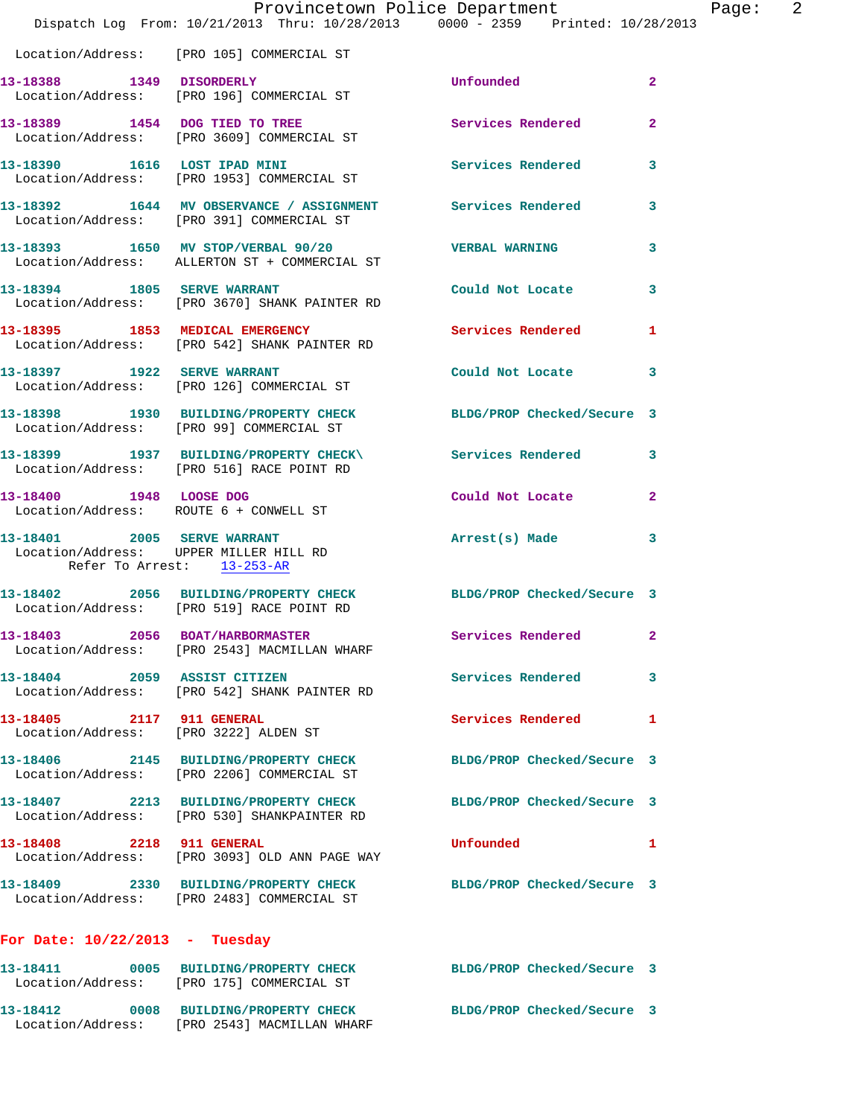|                                  | Provincetown Police Department<br>Dispatch Log From: 10/21/2013 Thru: 10/28/2013 0000 - 2359 Printed: 10/28/2013 |                            | -2<br>Page:    |
|----------------------------------|------------------------------------------------------------------------------------------------------------------|----------------------------|----------------|
|                                  | Location/Address: [PRO 105] COMMERCIAL ST                                                                        |                            |                |
|                                  | 13-18388 1349 DISORDERLY<br>Location/Address: [PRO 196] COMMERCIAL ST                                            | Unfounded                  | $\overline{2}$ |
|                                  | 13-18389 1454 DOG TIED TO TREE<br>Location/Address: [PRO 3609] COMMERCIAL ST                                     | Services Rendered          | $\mathbf{2}$   |
|                                  | 13-18390 1616 LOST IPAD MINI<br>Location/Address: [PRO 1953] COMMERCIAL ST                                       | Services Rendered          | 3              |
|                                  | 13-18392 1644 MV OBSERVANCE / ASSIGNMENT Services Rendered<br>Location/Address: [PRO 391] COMMERCIAL ST          |                            | 3              |
|                                  | 13-18393 1650 MV STOP/VERBAL 90/20 VERBAL WARNING<br>Location/Address: ALLERTON ST + COMMERCIAL ST               |                            | 3              |
|                                  | 13-18394 1805 SERVE WARRANT<br>Location/Address: [PRO 3670] SHANK PAINTER RD                                     | Could Not Locate           | 3              |
|                                  | 13-18395 1853 MEDICAL EMERGENCY Services Rendered<br>Location/Address: [PRO 542] SHANK PAINTER RD                |                            | 1              |
|                                  | 13-18397 1922 SERVE WARRANT<br>Location/Address: [PRO 126] COMMERCIAL ST                                         | Could Not Locate           | 3              |
|                                  | 13-18398 1930 BUILDING/PROPERTY CHECK BLDG/PROP Checked/Secure 3<br>Location/Address: [PRO 99] COMMERCIAL ST     |                            |                |
|                                  | 13-18399 1937 BUILDING/PROPERTY CHECK\ Services Rendered 3<br>Location/Address: [PRO 516] RACE POINT RD          |                            |                |
| 13-18400 1948 LOOSE DOG          | Location/Address: ROUTE 6 + CONWELL ST                                                                           | Could Not Locate           | $\mathbf{2}$   |
| Refer To Arrest: 13-253-AR       | 13-18401 2005 SERVE WARRANT<br>Location/Address: UPPER MILLER HILL RD                                            | Arrest(s) Made             | 3              |
|                                  | 13-18402 2056 BUILDING/PROPERTY CHECK BLDG/PROP Checked/Secure 3<br>Location/Address: [PRO 519] RACE POINT RD    |                            |                |
|                                  | 13-18403 2056 BOAT/HARBORMASTER<br>Location/Address: [PRO 2543] MACMILLAN WHARF                                  | <b>Services Rendered</b>   |                |
| 13-18404 2059 ASSIST CITIZEN     | Location/Address: [PRO 542] SHANK PAINTER RD                                                                     | Services Rendered          | 3              |
| 13-18405 2117 911 GENERAL        | Location/Address: [PRO 3222] ALDEN ST                                                                            | <b>Services Rendered</b>   | 1              |
|                                  | 13-18406 2145 BUILDING/PROPERTY CHECK<br>Location/Address: [PRO 2206] COMMERCIAL ST                              | BLDG/PROP Checked/Secure 3 |                |
|                                  | 13-18407 2213 BUILDING/PROPERTY CHECK<br>Location/Address: [PRO 530] SHANKPAINTER RD                             | BLDG/PROP Checked/Secure 3 |                |
| 13-18408 2218 911 GENERAL        | Location/Address: [PRO 3093] OLD ANN PAGE WAY                                                                    | Unfounded                  | 1              |
|                                  | 13-18409 2330 BUILDING/PROPERTY CHECK<br>Location/Address: [PRO 2483] COMMERCIAL ST                              | BLDG/PROP Checked/Secure 3 |                |
| For Date: $10/22/2013$ - Tuesday |                                                                                                                  |                            |                |
|                                  | 13-18411 0005 BUILDING/PROPERTY CHECK BLDG/PROP Checked/Secure 3<br>Location/Address: [PRO 175] COMMERCIAL ST    |                            |                |
|                                  |                                                                                                                  |                            |                |

**13-18412 0008 BUILDING/PROPERTY CHECK BLDG/PROP Checked/Secure 3** 

Location/Address: [PRO 2543] MACMILLAN WHARF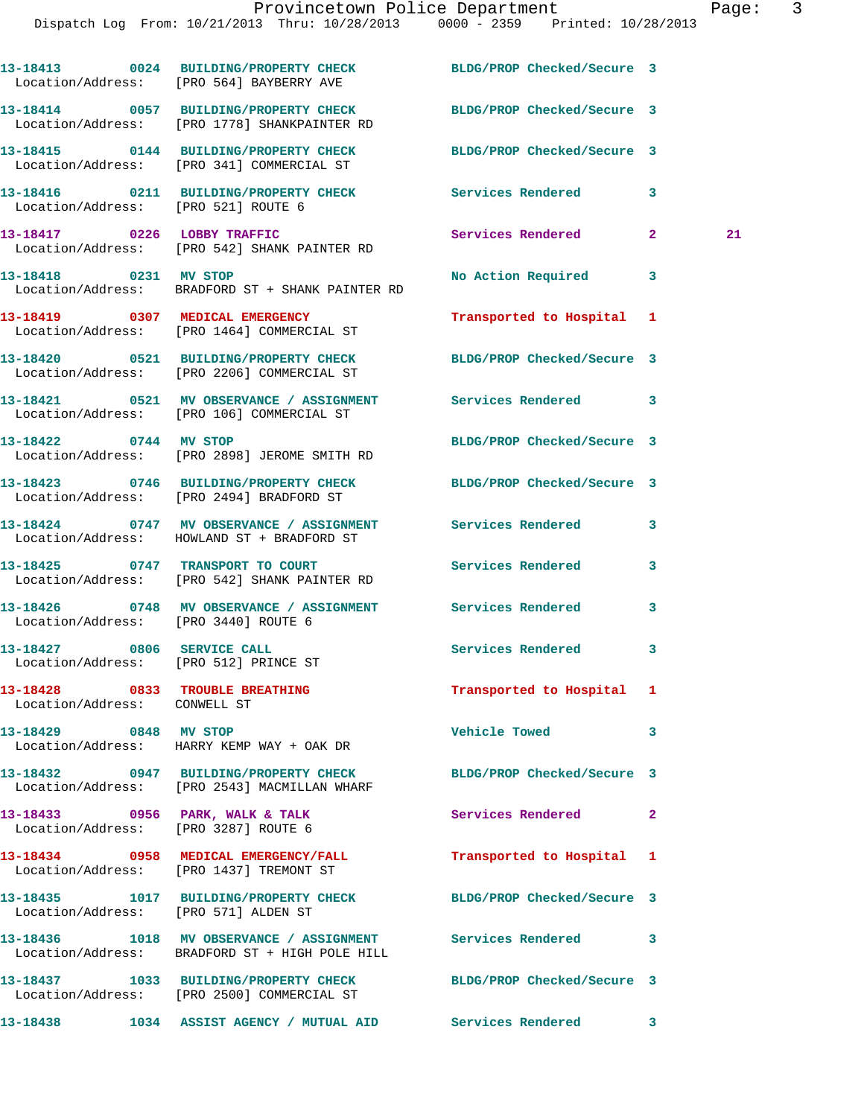|                              | 13-18413 0024 BUILDING/PROPERTY CHECK<br>Location/Address: [PRO 564] BAYBERRY AVE                                | BLDG/PROP Checked/Secure 3 |                    |
|------------------------------|------------------------------------------------------------------------------------------------------------------|----------------------------|--------------------|
|                              | 13-18414 0057 BUILDING/PROPERTY CHECK<br>Location/Address: [PRO 1778] SHANKPAINTER RD                            | BLDG/PROP Checked/Secure 3 |                    |
|                              | 13-18415 0144 BUILDING/PROPERTY CHECK BLDG/PROP Checked/Secure 3<br>Location/Address: [PRO 341] COMMERCIAL ST    |                            |                    |
|                              | 13-18416 0211 BUILDING/PROPERTY CHECK Services Rendered<br>Location/Address: [PRO 521] ROUTE 6                   |                            | 3                  |
|                              | 13-18417 0226 LOBBY TRAFFIC<br>Location/Address: [PRO 542] SHANK PAINTER RD                                      | Services Rendered          | $\mathbf{2}$<br>21 |
| 13-18418 0231 MV STOP        | Location/Address: BRADFORD ST + SHANK PAINTER RD                                                                 | No Action Required 3       |                    |
|                              | 13-18419 0307 MEDICAL EMERGENCY<br>Location/Address: [PRO 1464] COMMERCIAL ST                                    | Transported to Hospital 1  |                    |
|                              | 13-18420 0521 BUILDING/PROPERTY CHECK BLDG/PROP Checked/Secure 3<br>Location/Address: [PRO 2206] COMMERCIAL ST   |                            |                    |
|                              | 13-18421 0521 MV OBSERVANCE / ASSIGNMENT Services Rendered 3<br>Location/Address: [PRO 106] COMMERCIAL ST        |                            |                    |
| 13-18422 0744 MV STOP        | Location/Address: [PRO 2898] JEROME SMITH RD                                                                     | BLDG/PROP Checked/Secure 3 |                    |
|                              | 13-18423 0746 BUILDING/PROPERTY CHECK BLDG/PROP Checked/Secure 3<br>Location/Address: [PRO 2494] BRADFORD ST     |                            |                    |
|                              | 13-18424 0747 MV OBSERVANCE / ASSIGNMENT Services Rendered<br>Location/Address: HOWLAND ST + BRADFORD ST         |                            | 3                  |
|                              | 13-18425 0747 TRANSPORT TO COURT<br>Location/Address: [PRO 542] SHANK PAINTER RD                                 | <b>Services Rendered</b>   | 3                  |
|                              | 13-18426 0748 MV OBSERVANCE / ASSIGNMENT Services Rendered<br>Location/Address: [PRO 3440] ROUTE 6               |                            | 3                  |
|                              | 13-18427 0806 SERVICE CALL<br>Location/Address: [PRO 512] PRINCE ST                                              | Services Rendered 3        |                    |
| Location/Address: CONWELL ST | 13-18428 0833 TROUBLE BREATHING                                                                                  | Transported to Hospital 1  |                    |
| 13-18429 0848 MV STOP        | Location/Address: HARRY KEMP WAY + OAK DR                                                                        | <b>Vehicle Towed</b>       | 3                  |
|                              | 13-18432 0947 BUILDING/PROPERTY CHECK BLDG/PROP Checked/Secure 3<br>Location/Address: [PRO 2543] MACMILLAN WHARF |                            |                    |
|                              | 13-18433 0956 PARK, WALK & TALK<br>Location/Address: [PRO 3287] ROUTE 6                                          | Services Rendered          | 2                  |
|                              | 13-18434 0958 MEDICAL EMERGENCY/FALL<br>Location/Address: [PRO 1437] TREMONT ST                                  | Transported to Hospital 1  |                    |
|                              | 13-18435 1017 BUILDING/PROPERTY CHECK BLDG/PROP Checked/Secure 3<br>Location/Address: [PRO 571] ALDEN ST         |                            |                    |
|                              | 13-18436 1018 MV OBSERVANCE / ASSIGNMENT Services Rendered<br>Location/Address: BRADFORD ST + HIGH POLE HILL     |                            | 3                  |
|                              | 13-18437 1033 BUILDING/PROPERTY CHECK BLDG/PROP Checked/Secure 3<br>Location/Address: [PRO 2500] COMMERCIAL ST   |                            |                    |
|                              | 13-18438 1034 ASSIST AGENCY / MUTUAL AID Services Rendered                                                       |                            | $\mathbf{3}$       |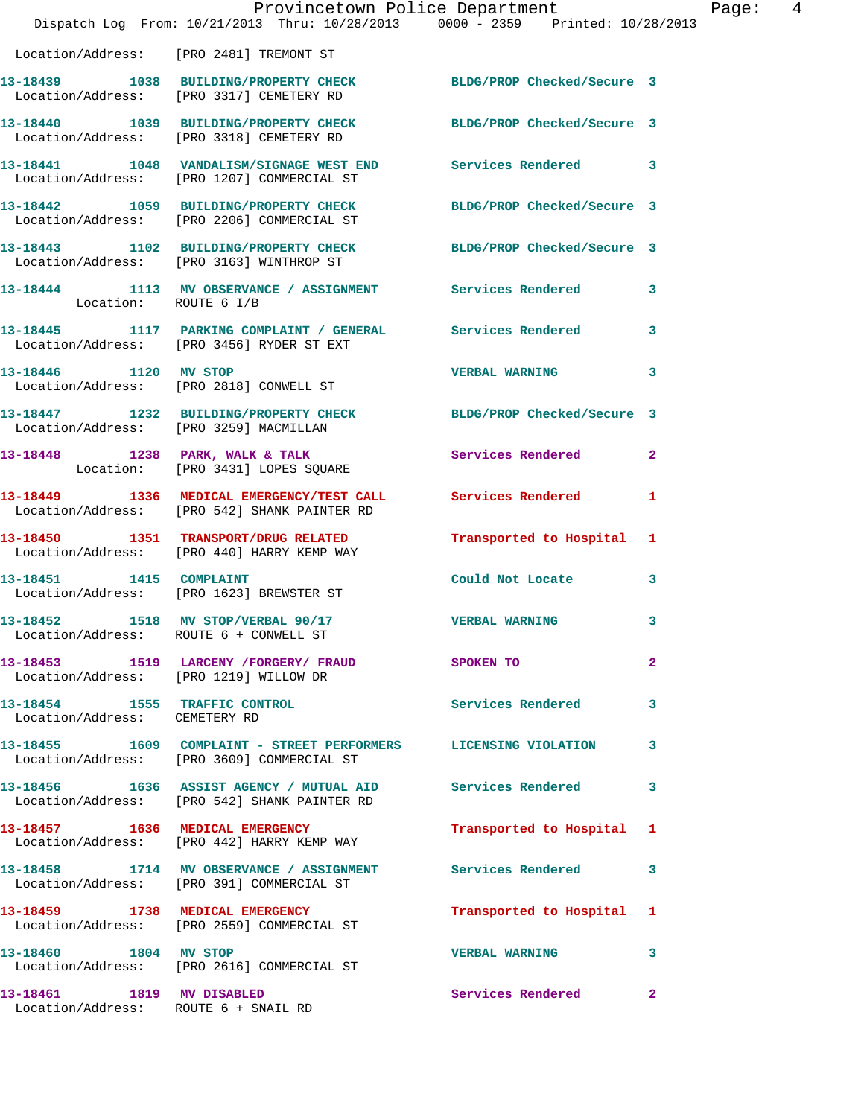|                                                                | Dispatch Log From: 10/21/2013 Thru: 10/28/2013 0000 - 2359 Printed: 10/28/2013                                      | Provincetown Police Department | Page: 4 |
|----------------------------------------------------------------|---------------------------------------------------------------------------------------------------------------------|--------------------------------|---------|
|                                                                | Location/Address: [PRO 2481] TREMONT ST                                                                             |                                |         |
|                                                                | 13-18439 1038 BUILDING/PROPERTY CHECK BLDG/PROP Checked/Secure 3<br>Location/Address: [PRO 3317] CEMETERY RD        |                                |         |
|                                                                | 13-18440 1039 BUILDING/PROPERTY CHECK BLDG/PROP Checked/Secure 3<br>Location/Address: [PRO 3318] CEMETERY RD        |                                |         |
|                                                                | 13-18441 1048 VANDALISM/SIGNAGE WEST END Services Rendered 3<br>Location/Address: [PRO 1207] COMMERCIAL ST          |                                |         |
|                                                                | 13-18442 1059 BUILDING/PROPERTY CHECK BLDG/PROP Checked/Secure 3<br>Location/Address: [PRO 2206] COMMERCIAL ST      |                                |         |
|                                                                | 13-18443   1102   BUILDING/PROPERTY CHECK   BLDG/PROP Checked/Secure   3   Location/Address: [PRO 3163] WINTHROP ST |                                |         |
| Location: ROUTE 6 I/B                                          | 13-18444 1113 MV OBSERVANCE / ASSIGNMENT Services Rendered 3                                                        |                                |         |
|                                                                | 13-18445 1117 PARKING COMPLAINT / GENERAL Services Rendered 3<br>Location/Address: [PRO 3456] RYDER ST EXT          |                                |         |
| 13-18446 1120 MV STOP                                          | Location/Address: [PRO 2818] CONWELL ST                                                                             | VERBAL WARNING 3               |         |
|                                                                | 13-18447 1232 BUILDING/PROPERTY CHECK BLDG/PROP Checked/Secure 3<br>Location/Address: [PRO 3259] MACMILLAN          |                                |         |
|                                                                | 13-18448 1238 PARK, WALK & TALK 6 Services Rendered 2<br>Location: [PRO 3431] LOPES SQUARE                          |                                |         |
|                                                                | 13-18449 1336 MEDICAL EMERGENCY/TEST CALL Services Rendered 1<br>Location/Address: [PRO 542] SHANK PAINTER RD       |                                |         |
|                                                                | 13-18450 1351 TRANSPORT/DRUG RELATED<br>Location/Address: [PRO 440] HARRY KEMP WAY                                  | Transported to Hospital 1      |         |
| 13-18451 1415 COMPLAINT                                        | Location/Address: [PRO 1623] BREWSTER ST                                                                            | Could Not Locate 3             |         |
|                                                                | 13-18452 1518 MV STOP/VERBAL 90/17<br>Location/Address: ROUTE 6 + CONWELL ST                                        | <b>VERBAL WARNING</b>          | 3       |
|                                                                | 13-18453 1519 LARCENY /FORGERY / FRAUD SPOKEN TO<br>Location/Address: [PRO 1219] WILLOW DR                          |                                | 2       |
| 13-18454 1555 TRAFFIC CONTROL<br>Location/Address: CEMETERY RD |                                                                                                                     | Services Rendered 3            |         |
|                                                                | 13-18455 1609 COMPLAINT - STREET PERFORMERS LICENSING VIOLATION 3<br>Location/Address: [PRO 3609] COMMERCIAL ST     |                                |         |
|                                                                | 13-18456 1636 ASSIST AGENCY / MUTUAL AID Services Rendered 3<br>Location/Address: [PRO 542] SHANK PAINTER RD        |                                |         |
|                                                                | 13-18457 1636 MEDICAL EMERGENCY<br>Location/Address: [PRO 442] HARRY KEMP WAY                                       | Transported to Hospital 1      |         |
|                                                                | 13-18458 1714 MV OBSERVANCE / ASSIGNMENT Services Rendered 3<br>Location/Address: [PRO 391] COMMERCIAL ST           |                                |         |
|                                                                | 13-18459 1738 MEDICAL EMERGENCY<br>Location/Address: [PRO 2559] COMMERCIAL ST                                       | Transported to Hospital 1      |         |
|                                                                | 13-18460 1804 MV STOP<br>Location/Address: [PRO 2616] COMMERCIAL ST                                                 | <b>VERBAL WARNING</b>          | 3       |
| 13-18461 1819 MV DISABLED                                      | Location/Address: ROUTE 6 + SNAIL RD                                                                                | Services Rendered 2            |         |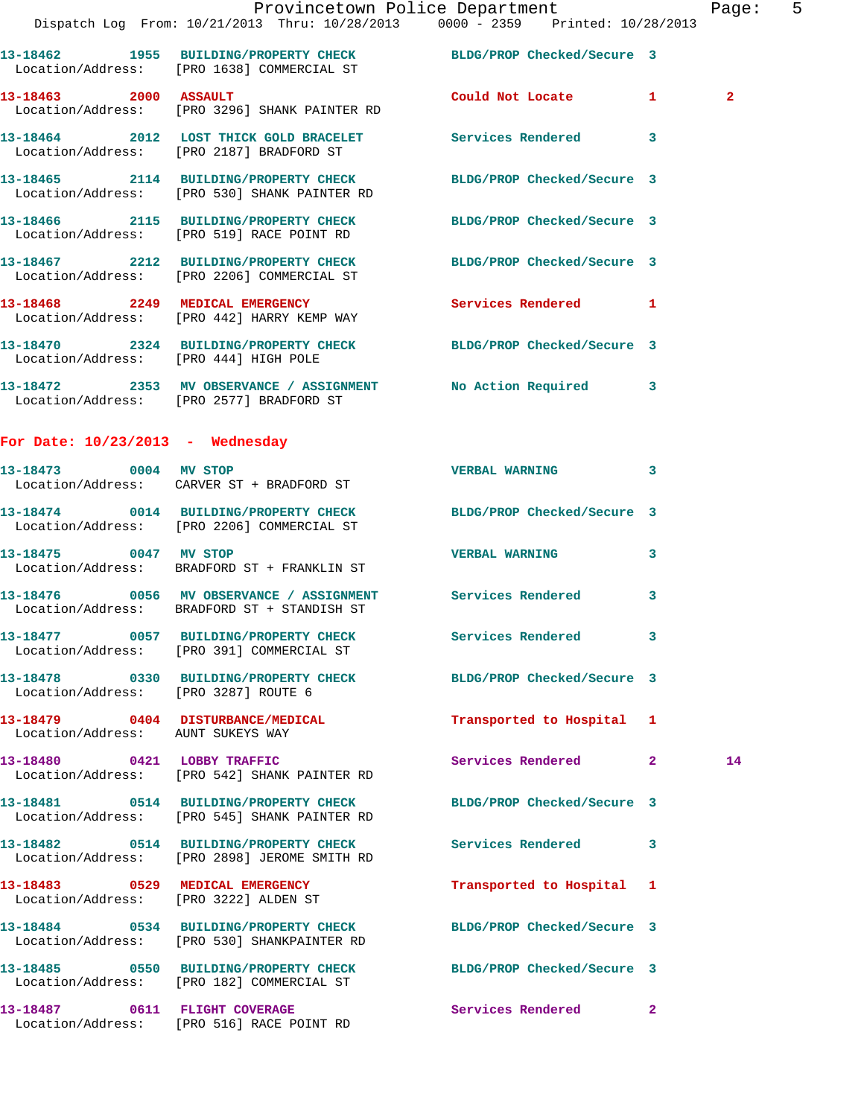|                                       | Provincetown Police Department<br>Dispatch Log From: 10/21/2013 Thru: 10/28/2013 0000 - 2359 Printed: 10/28/2013 |                           | Page: 5        |
|---------------------------------------|------------------------------------------------------------------------------------------------------------------|---------------------------|----------------|
|                                       | 13-18462 1955 BUILDING/PROPERTY CHECK BLDG/PROP Checked/Secure 3<br>Location/Address: [PRO 1638] COMMERCIAL ST   |                           |                |
|                                       | 13-18463 2000 ASSAULT<br>Location/Address: [PRO 3296] SHANK PAINTER RD                                           | Could Not Locate 1        | $\overline{2}$ |
|                                       | 13-18464 2012 LOST THICK GOLD BRACELET Services Rendered 3<br>Location/Address: [PRO 2187] BRADFORD ST           |                           |                |
|                                       | 13-18465 2114 BUILDING/PROPERTY CHECK BLDG/PROP Checked/Secure 3<br>Location/Address: [PRO 530] SHANK PAINTER RD |                           |                |
|                                       | 13-18466 2115 BUILDING/PROPERTY CHECK BLDG/PROP Checked/Secure 3<br>Location/Address: [PRO 519] RACE POINT RD    |                           |                |
|                                       | 13-18467 2212 BUILDING/PROPERTY CHECK BLDG/PROP Checked/Secure 3<br>Location/Address: [PRO 2206] COMMERCIAL ST   |                           |                |
|                                       | 13-18468 2249 MEDICAL EMERGENCY Services Rendered 1<br>Location/Address: [PRO 442] HARRY KEMP WAY                |                           |                |
| Location/Address: [PRO 444] HIGH POLE | 13-18470 2324 BUILDING/PROPERTY CHECK BLDG/PROP Checked/Secure 3                                                 |                           |                |
|                                       | 13-18472 2353 MV OBSERVANCE / ASSIGNMENT No Action Required 3<br>Location/Address: [PRO 2577] BRADFORD ST        |                           |                |
| For Date: $10/23/2013$ - Wednesday    |                                                                                                                  |                           |                |
|                                       | 13-18473 0004 MV STOP<br>Location/Address: CARVER ST + BRADFORD ST                                               | <b>VERBAL WARNING</b>     | $\mathbf{3}$   |
|                                       | 13-18474 0014 BUILDING/PROPERTY CHECK BLDG/PROP Checked/Secure 3<br>Location/Address: [PRO 2206] COMMERCIAL ST   |                           |                |
|                                       | 13-18475 0047 MV STOP<br>Location/Address: BRADFORD ST + FRANKLIN ST                                             | <b>VERBAL WARNING</b>     | 3              |
|                                       | 13-18476  0056 MV OBSERVANCE / ASSIGNMENT Services Rendered<br>Location/Address: BRADFORD ST + STANDISH ST       |                           | $\mathbf{3}$   |
|                                       | Location/Address: [PRO 391] COMMERCIAL ST                                                                        | Services Rendered 3       |                |
| Location/Address: [PRO 3287] ROUTE 6  | 13-18478 0330 BUILDING/PROPERTY CHECK BLDG/PROP Checked/Secure 3                                                 |                           |                |
| Location/Address: AUNT SUKEYS WAY     | 13-18479 0404 DISTURBANCE/MEDICAL                                                                                | Transported to Hospital 1 |                |
|                                       | 13-18480 0421 LOBBY TRAFFIC<br>Location/Address: [PRO 542] SHANK PAINTER RD                                      | Services Rendered 2       | 14             |
|                                       | 13-18481 0514 BUILDING/PROPERTY CHECK BLDG/PROP Checked/Secure 3<br>Location/Address: [PRO 545] SHANK PAINTER RD |                           |                |
|                                       | 13-18482 0514 BUILDING/PROPERTY CHECK Services Rendered 3<br>Location/Address: [PRO 2898] JEROME SMITH RD        |                           |                |
| Location/Address: [PRO 3222] ALDEN ST | 13-18483 0529 MEDICAL EMERGENCY                                                                                  | Transported to Hospital 1 |                |
|                                       | 13-18484 0534 BUILDING/PROPERTY CHECK BLDG/PROP Checked/Secure 3<br>Location/Address: [PRO 530] SHANKPAINTER RD  |                           |                |
|                                       | 13-18485 0550 BUILDING/PROPERTY CHECK BLDG/PROP Checked/Secure 3<br>Location/Address: [PRO 182] COMMERCIAL ST    |                           |                |
| 13-18487 0611 FLIGHT COVERAGE         |                                                                                                                  | Services Rendered 2       |                |

Location/Address: [PRO 516] RACE POINT RD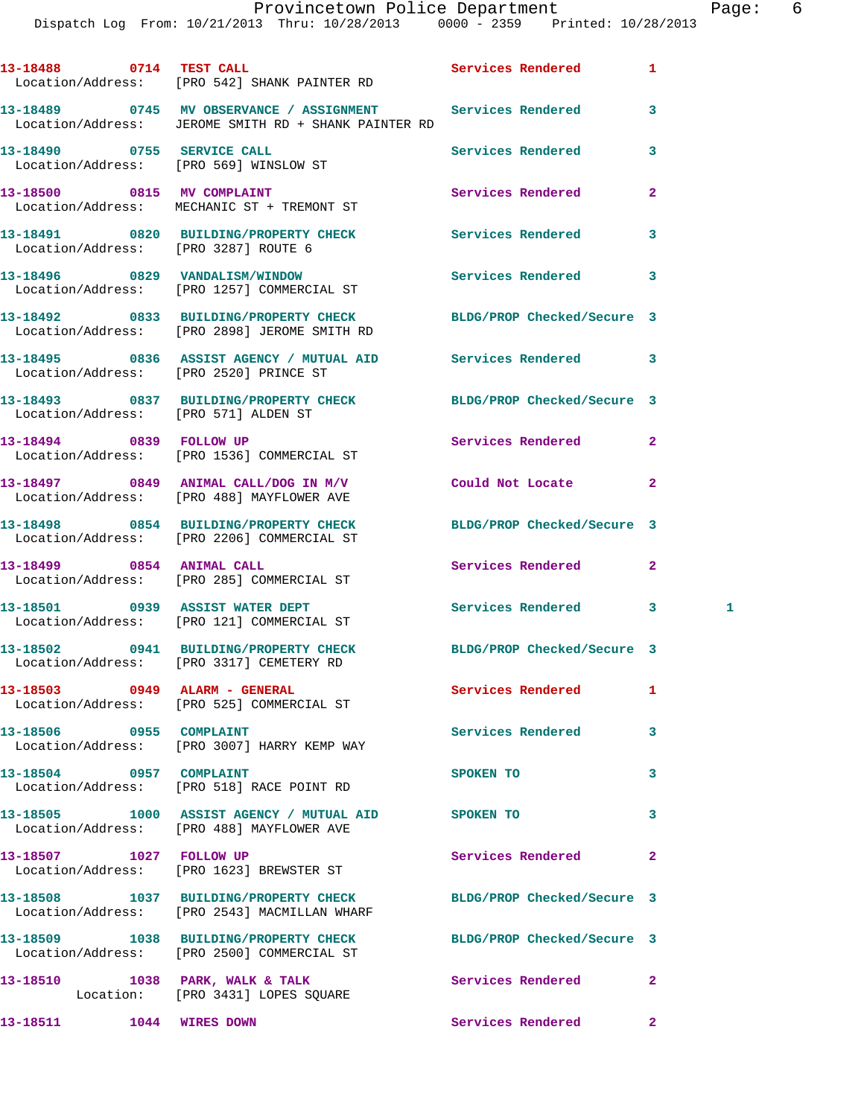Dispatch Log From: 10/21/2013 Thru: 10/28/2013 0000 - 2359 Printed: 10/28/2013

**13-18488 0714 TEST CALL Services Rendered 1**  Location/Address: [PRO 542] SHANK PAINTER RD **13-18489 0745 MV OBSERVANCE / ASSIGNMENT Services Rendered 3**  Location/Address: JEROME SMITH RD + SHANK PAINTER RD **13-18490 0755 SERVICE CALL Services Rendered 3**  Location/Address: [PRO 569] WINSLOW ST 13-18500 0815 MV COMPLAINT **13-18500** Services Rendered 2 Location/Address: MECHANIC ST + TREMONT ST **13-18491 0820 BUILDING/PROPERTY CHECK Services Rendered 3**  Location/Address: [PRO 3287] ROUTE 6 **13-18496 0829 VANDALISM/WINDOW Services Rendered 3**  Location/Address: [PRO 1257] COMMERCIAL ST **13-18492 0833 BUILDING/PROPERTY CHECK BLDG/PROP Checked/Secure 3**  Location/Address: [PRO 2898] JEROME SMITH RD **13-18495 0836 ASSIST AGENCY / MUTUAL AID Services Rendered 3**  Location/Address: [PRO 2520] PRINCE ST **13-18493 0837 BUILDING/PROPERTY CHECK BLDG/PROP Checked/Secure 3**  Location/Address: [PRO 571] ALDEN ST **13-18494 0839 FOLLOW UP Services Rendered 2**  Location/Address: [PRO 1536] COMMERCIAL ST **13-18497 0849 ANIMAL CALL/DOG IN M/V Could Not Locate 2**  Location/Address: [PRO 488] MAYFLOWER AVE **13-18498 0854 BUILDING/PROPERTY CHECK BLDG/PROP Checked/Secure 3**  Location/Address: [PRO 2206] COMMERCIAL ST **13-18499 0854 ANIMAL CALL Services Rendered 2**  Location/Address: [PRO 285] COMMERCIAL ST **13-18501 0939 ASSIST WATER DEPT Services Rendered 3 1**  Location/Address: [PRO 121] COMMERCIAL ST **13-18502 0941 BUILDING/PROPERTY CHECK BLDG/PROP Checked/Secure 3**  Location/Address: [PRO 3317] CEMETERY RD **13-18503 0949 ALARM - GENERAL Services Rendered 1**  Location/Address: [PRO 525] COMMERCIAL ST 13-18506 0955 COMPLAINT **Services Rendered** 3 Location/Address: [PRO 3007] HARRY KEMP WAY **13-18504** 0957 COMPLAINT 3 Location/Address: [PRO 518] RACE POINT RD **13-18505 1000 ASSIST AGENCY / MUTUAL AID SPOKEN TO 3**  Location/Address: [PRO 488] MAYFLOWER AVE 13-18507 1027 FOLLOW UP **Services Rendered** 2 Location/Address: [PRO 1623] BREWSTER ST **13-18508 1037 BUILDING/PROPERTY CHECK BLDG/PROP Checked/Secure 3**  Location/Address: [PRO 2543] MACMILLAN WHARF **13-18509 1038 BUILDING/PROPERTY CHECK BLDG/PROP Checked/Secure 3**  Location/Address: [PRO 2500] COMMERCIAL ST 13-18510 1038 PARK, WALK & TALK **Services Rendered** 2

Location: [PRO 3431] LOPES SQUARE

**13-18511 1044 WIRES DOWN Services Rendered 2**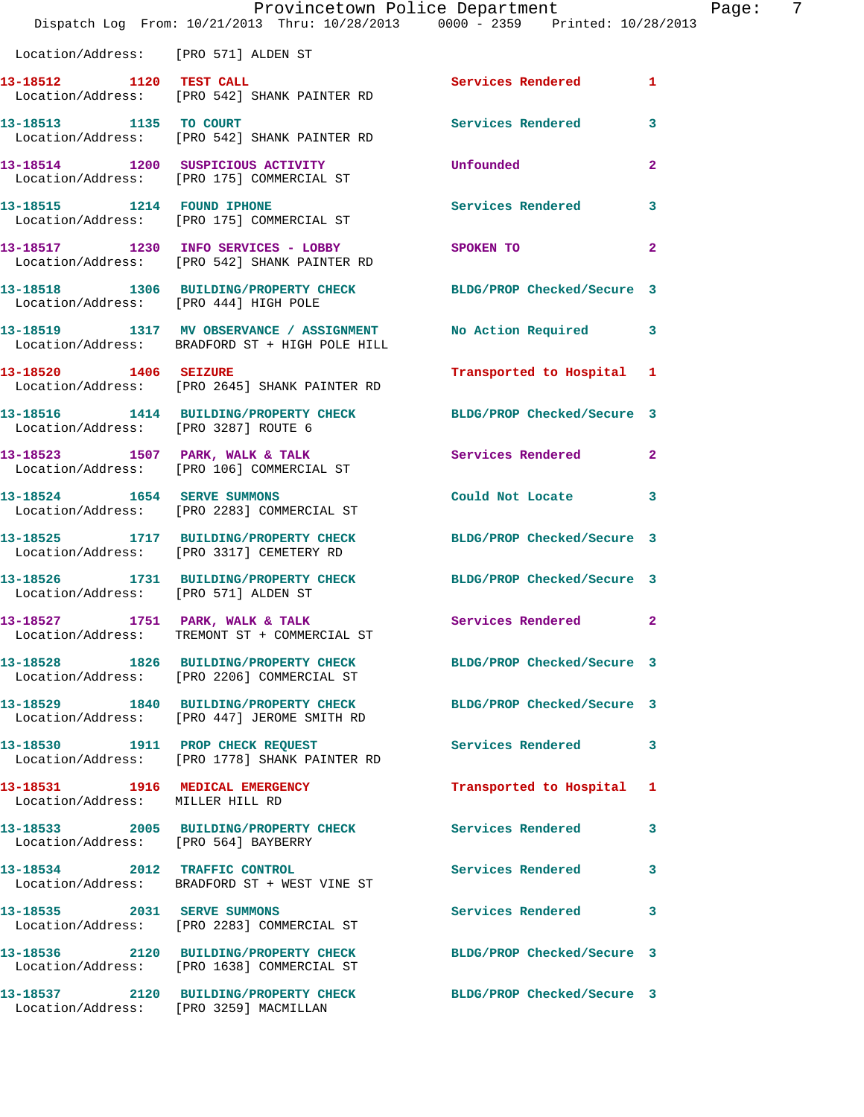|                                       | Provincetown Police Department<br>Dispatch Log From: 10/21/2013 Thru: 10/28/2013 0000 - 2359 Printed: 10/28/2013 |                            | Page: 7      |
|---------------------------------------|------------------------------------------------------------------------------------------------------------------|----------------------------|--------------|
| Location/Address: [PRO 571] ALDEN ST  |                                                                                                                  |                            |              |
|                                       | 13-18512 1120 TEST CALL<br>Location/Address: [PRO 542] SHANK PAINTER RD                                          | Services Rendered 1        |              |
| 13-18513 1135 TO COURT                | Location/Address: [PRO 542] SHANK PAINTER RD                                                                     | Services Rendered 3        |              |
|                                       | 13-18514 1200 SUSPICIOUS ACTIVITY<br>Location/Address: [PRO 175] COMMERCIAL ST                                   | Unfounded                  | $\mathbf{2}$ |
|                                       | 13-18515 1214 FOUND IPHONE<br>Location/Address: [PRO 175] COMMERCIAL ST                                          | <b>Services Rendered</b>   | 3            |
|                                       | 13-18517 1230 INFO SERVICES - LOBBY<br>Location/Address: [PRO 542] SHANK PAINTER RD                              | SPOKEN TO                  | $\mathbf{2}$ |
| Location/Address: [PRO 444] HIGH POLE | 13-18518 1306 BUILDING/PROPERTY CHECK BLDG/PROP Checked/Secure 3                                                 |                            |              |
|                                       | 13-18519 1317 MV OBSERVANCE / ASSIGNMENT No Action Required 3<br>Location/Address: BRADFORD ST + HIGH POLE HILL  |                            |              |
|                                       | 13-18520 1406 SEIZURE<br>Location/Address: [PRO 2645] SHANK PAINTER RD                                           | Transported to Hospital 1  |              |
| Location/Address: [PRO 3287] ROUTE 6  | 13-18516 1414 BUILDING/PROPERTY CHECK BLDG/PROP Checked/Secure 3                                                 |                            |              |
|                                       | 13-18523 1507 PARK, WALK & TALK<br>Location/Address: [PRO 106] COMMERCIAL ST                                     | Services Rendered 2        |              |
| 13-18524 1654 SERVE SUMMONS           | Location/Address: [PRO 2283] COMMERCIAL ST                                                                       | Could Not Locate 3         |              |
|                                       | 13-18525 1717 BUILDING/PROPERTY CHECK<br>Location/Address: [PRO 3317] CEMETERY RD                                | BLDG/PROP Checked/Secure 3 |              |
| Location/Address: [PRO 571] ALDEN ST  | 13-18526 1731 BUILDING/PROPERTY CHECK BLDG/PROP Checked/Secure 3                                                 |                            |              |
|                                       | 13-18527 1751 PARK, WALK & TALK<br>Location/Address: TREMONT ST + COMMERCIAL ST                                  | Services Rendered 2        |              |
|                                       | 13-18528 1826 BUILDING/PROPERTY CHECK BLDG/PROP Checked/Secure 3<br>Location/Address: [PRO 2206] COMMERCIAL ST   |                            |              |
|                                       | 13-18529 1840 BUILDING/PROPERTY CHECK BLDG/PROP Checked/Secure 3<br>Location/Address: [PRO 447] JEROME SMITH RD  |                            |              |
|                                       | 13-18530 1911 PROP CHECK REQUEST<br>Location/Address: [PRO 1778] SHANK PAINTER RD                                | Services Rendered 3        |              |
| Location/Address: MILLER HILL RD      | 13-18531 1916 MEDICAL EMERGENCY                                                                                  | Transported to Hospital 1  |              |
| Location/Address: [PRO 564] BAYBERRY  | 13-18533 2005 BUILDING/PROPERTY CHECK Services Rendered 3                                                        |                            |              |
|                                       | 13-18534 2012 TRAFFIC CONTROL<br>Location/Address: BRADFORD ST + WEST VINE ST                                    | Services Rendered          | 3            |
| 13-18535 2031 SERVE SUMMONS           | Location/Address: [PRO 2283] COMMERCIAL ST                                                                       | Services Rendered 3        |              |
|                                       | 13-18536 2120 BUILDING/PROPERTY CHECK BLDG/PROP Checked/Secure 3<br>Location/Address: [PRO 1638] COMMERCIAL ST   |                            |              |
|                                       | 13-18537 2120 BUILDING/PROPERTY CHECK BLDG/PROP Checked/Secure 3<br>Location/Address: [PRO 3259] MACMILLAN       |                            |              |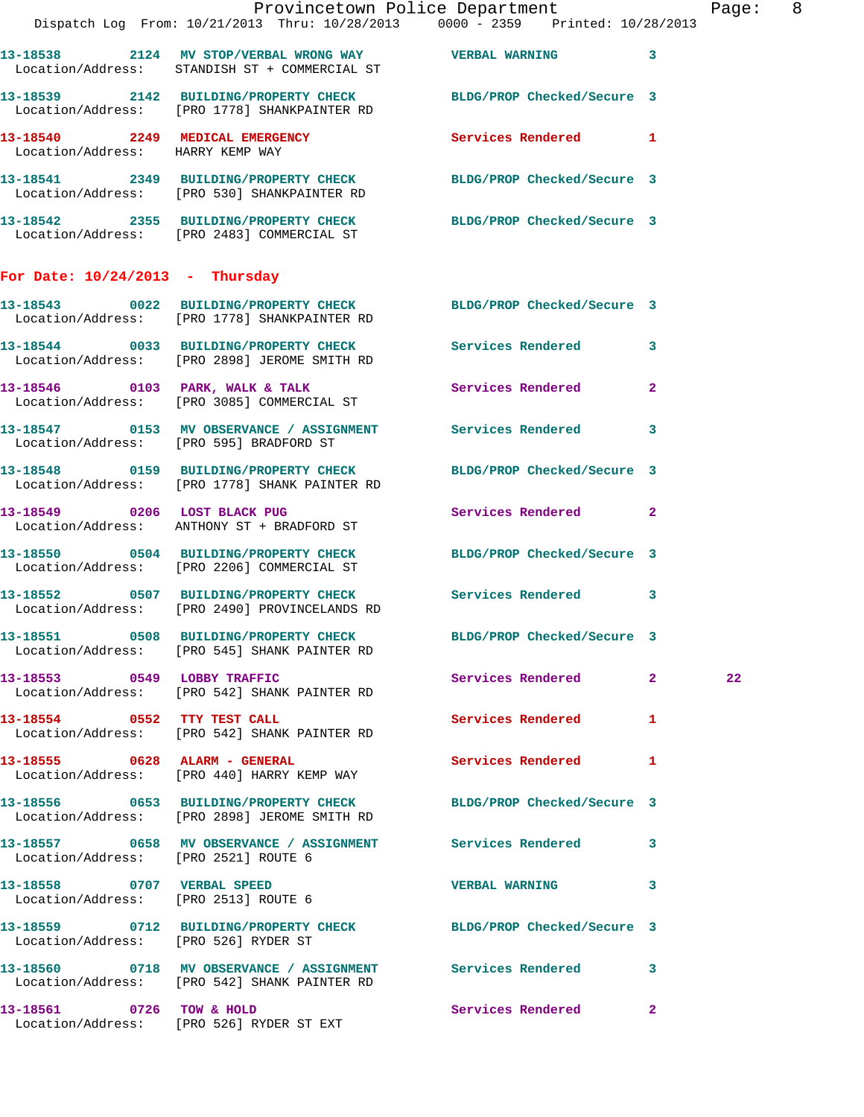|                                      |                                                                                                 | Provincetown Police Department<br>Dispatch Log From: 10/21/2013 Thru: 10/28/2013 0000 - 2359 Printed: 10/28/2013 | Page: 8 |
|--------------------------------------|-------------------------------------------------------------------------------------------------|------------------------------------------------------------------------------------------------------------------|---------|
|                                      | Location/Address: STANDISH ST + COMMERCIAL ST                                                   | 13-18538 2124 MV STOP/VERBAL WRONG WAY WERBAL WARNING 3                                                          |         |
|                                      |                                                                                                 | 13-18539 2142 BUILDING/PROPERTY CHECK BLDG/PROP Checked/Secure 3<br>Location/Address: [PRO 1778] SHANKPAINTER RD |         |
| Location/Address: HARRY KEMP WAY     |                                                                                                 | 13-18540 2249 MEDICAL EMERGENCY Services Rendered 1                                                              |         |
|                                      | Location/Address: [PRO 530] SHANKPAINTER RD                                                     | 13-18541 2349 BUILDING/PROPERTY CHECK BLDG/PROP Checked/Secure 3                                                 |         |
|                                      | Location/Address: [PRO 2483] COMMERCIAL ST                                                      | 13-18542 2355 BUILDING/PROPERTY CHECK BLDG/PROP Checked/Secure 3                                                 |         |
| For Date: $10/24/2013$ - Thursday    |                                                                                                 |                                                                                                                  |         |
|                                      | Location/Address: [PRO 1778] SHANKPAINTER RD                                                    | 13-18543 0022 BUILDING/PROPERTY CHECK BLDG/PROP Checked/Secure 3                                                 |         |
|                                      | Location/Address: [PRO 2898] JEROME SMITH RD                                                    | 13-18544 0033 BUILDING/PROPERTY CHECK Services Rendered 3                                                        |         |
|                                      | 13-18546 0103 PARK, WALK & TALK<br>Location/Address: [PRO 3085] COMMERCIAL ST                   | Services Rendered<br>$\mathbf{2}$                                                                                |         |
|                                      | Location/Address: [PRO 595] BRADFORD ST                                                         | 13-18547 0153 MV OBSERVANCE / ASSIGNMENT Services Rendered 3                                                     |         |
|                                      | 13-18548      0159   BUILDING/PROPERTY CHECK<br>Location/Address:   [PRO 1778] SHANK PAINTER RD | BLDG/PROP Checked/Secure 3                                                                                       |         |
|                                      | 13-18549 0206 LOST BLACK PUG<br>Location/Address: ANTHONY ST + BRADFORD ST                      | Services Rendered 2                                                                                              |         |
|                                      | Location/Address: [PRO 2206] COMMERCIAL ST                                                      | 13-18550 0504 BUILDING/PROPERTY CHECK BLDG/PROP Checked/Secure 3                                                 |         |
|                                      | Location/Address: [PRO 2490] PROVINCELANDS RD                                                   | 13-18552 0507 BUILDING/PROPERTY CHECK Services Rendered 3                                                        |         |
|                                      | 13-18551 0508 BUILDING/PROPERTY CHECK<br>Location/Address: [PRO 545] SHANK PAINTER RD           | BLDG/PROP Checked/Secure 3                                                                                       |         |
| 13-18553 0549 LOBBY TRAFFIC          | Location/Address: [PRO 542] SHANK PAINTER RD                                                    | Services Rendered 2                                                                                              | 22      |
|                                      | 13-18554 0552 TTY TEST CALL<br>Location/Address: [PRO 542] SHANK PAINTER RD                     | Services Rendered<br>$\mathbf{1}$                                                                                |         |
|                                      | 13-18555 0628 ALARM - GENERAL<br>Location/Address: [PRO 440] HARRY KEMP WAY                     | Services Rendered 1                                                                                              |         |
|                                      | Location/Address: [PRO 2898] JEROME SMITH RD                                                    | 13-18556 0653 BUILDING/PROPERTY CHECK BLDG/PROP Checked/Secure 3                                                 |         |
| Location/Address: [PRO 2521] ROUTE 6 |                                                                                                 | 13-18557 0658 MV OBSERVANCE / ASSIGNMENT Services Rendered 3                                                     |         |
| Location/Address: [PRO 2513] ROUTE 6 | 13-18558 0707 VERBAL SPEED                                                                      | <b>VERBAL WARNING</b><br>3                                                                                       |         |
| Location/Address: [PRO 526] RYDER ST |                                                                                                 | 13-18559 0712 BUILDING/PROPERTY CHECK BLDG/PROP Checked/Secure 3                                                 |         |
|                                      | Location/Address: [PRO 542] SHANK PAINTER RD                                                    | 13-18560 0718 MV OBSERVANCE / ASSIGNMENT Services Rendered 3                                                     |         |
| 13-18561 0726 TOW & HOLD             |                                                                                                 | Services Rendered 2                                                                                              |         |

Location/Address: [PRO 526] RYDER ST EXT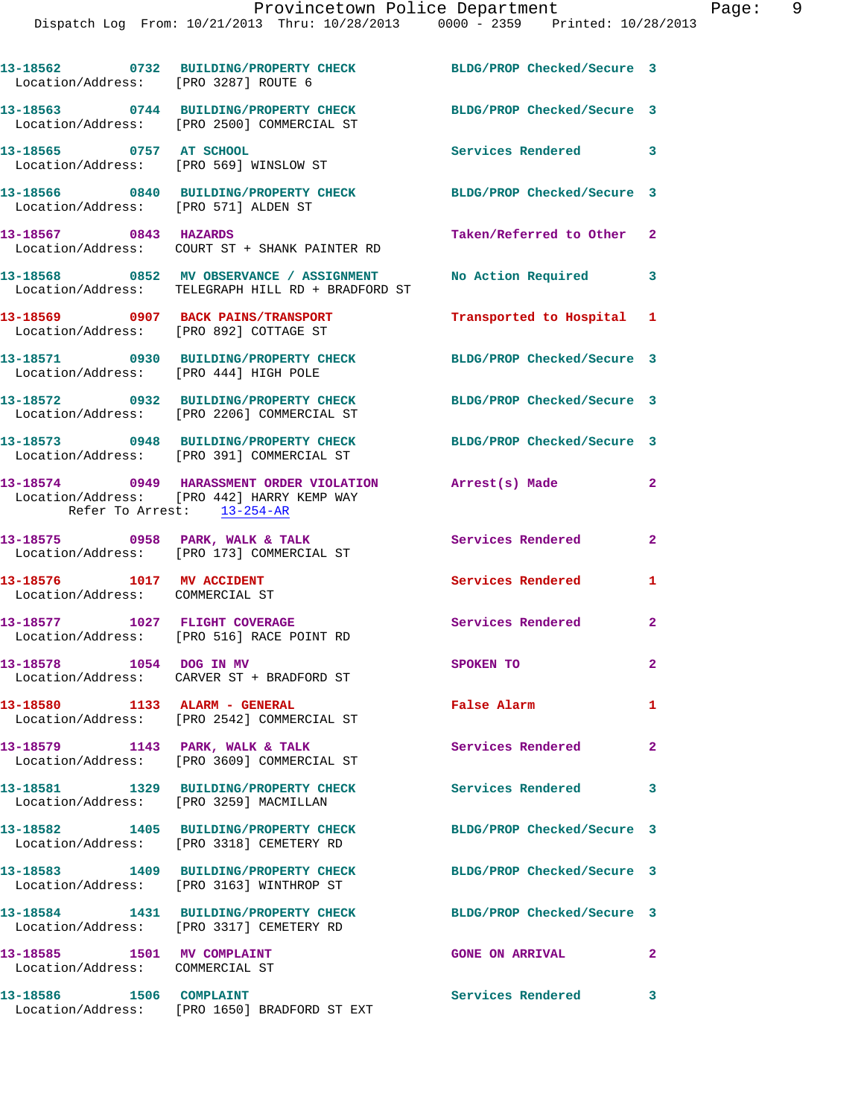| Location/Address: [PRO 3287] ROUTE 6                          | 13-18562 0732 BUILDING/PROPERTY CHECK                                                         | BLDG/PROP Checked/Secure 3 |                         |
|---------------------------------------------------------------|-----------------------------------------------------------------------------------------------|----------------------------|-------------------------|
|                                                               | 13-18563 0744 BUILDING/PROPERTY CHECK<br>Location/Address: [PRO 2500] COMMERCIAL ST           | BLDG/PROP Checked/Secure 3 |                         |
| 13-18565 0757 AT SCHOOL                                       | Location/Address: [PRO 569] WINSLOW ST                                                        | Services Rendered 3        |                         |
| Location/Address: [PRO 571] ALDEN ST                          | 13-18566 0840 BUILDING/PROPERTY CHECK                                                         | BLDG/PROP Checked/Secure 3 |                         |
| 13-18567 0843 HAZARDS                                         | Location/Address: COURT ST + SHANK PAINTER RD                                                 | Taken/Referred to Other 2  |                         |
|                                                               | 13-18568 0852 MV OBSERVANCE / ASSIGNMENT<br>Location/Address: TELEGRAPH HILL RD + BRADFORD ST | No Action Required 3       |                         |
| Location/Address: [PRO 892] COTTAGE ST                        | 13-18569 0907 BACK PAINS/TRANSPORT                                                            | Transported to Hospital 1  |                         |
| Location/Address: [PRO 444] HIGH POLE                         | 13-18571 0930 BUILDING/PROPERTY CHECK BLDG/PROP Checked/Secure 3                              |                            |                         |
|                                                               | 13-18572 0932 BUILDING/PROPERTY CHECK<br>Location/Address: [PRO 2206] COMMERCIAL ST           | BLDG/PROP Checked/Secure 3 |                         |
|                                                               | 13-18573 0948 BUILDING/PROPERTY CHECK<br>Location/Address: [PRO 391] COMMERCIAL ST            | BLDG/PROP Checked/Secure 3 |                         |
| Refer To Arrest: 13-254-AR                                    | 13-18574 0949 HARASSMENT ORDER VIOLATION<br>Location/Address: [PRO 442] HARRY KEMP WAY        | Arrest(s) Made             | $\mathbf{2}$            |
|                                                               | 13-18575 0958 PARK, WALK & TALK<br>Location/Address: [PRO 173] COMMERCIAL ST                  | Services Rendered          | $\overline{\mathbf{2}}$ |
| 13-18576 1017 MV ACCIDENT<br>Location/Address: COMMERCIAL ST  |                                                                                               | <b>Services Rendered</b>   | 1                       |
|                                                               | 13-18577 1027 FLIGHT COVERAGE<br>Location/Address: [PRO 516] RACE POINT RD                    | <b>Services Rendered</b>   | $\mathbf{2}$            |
| 13-18578 1054 DOG IN MV                                       | Location/Address: CARVER ST + BRADFORD ST                                                     | <b>SPOKEN TO</b>           | $\mathbf{2}$            |
| 13-18580 1133 ALARM - GENERAL                                 | Location/Address: [PRO 2542] COMMERCIAL ST                                                    | False Alarm                | $\mathbf{1}$            |
|                                                               | 13-18579 1143 PARK, WALK & TALK<br>Location/Address: [PRO 3609] COMMERCIAL ST                 | Services Rendered          | $\mathbf{2}$            |
| Location/Address: [PRO 3259] MACMILLAN                        | 13-18581 1329 BUILDING/PROPERTY CHECK                                                         | <b>Services Rendered</b>   | 3                       |
|                                                               | 13-18582  1405 BUILDING/PROPERTY CHECK<br>Location/Address: [PRO 3318] CEMETERY RD            | BLDG/PROP Checked/Secure 3 |                         |
|                                                               | 13-18583 1409 BUILDING/PROPERTY CHECK<br>Location/Address: [PRO 3163] WINTHROP ST             | BLDG/PROP Checked/Secure 3 |                         |
|                                                               | 13-18584 1431 BUILDING/PROPERTY CHECK<br>Location/Address: [PRO 3317] CEMETERY RD             | BLDG/PROP Checked/Secure 3 |                         |
| 13-18585 1501 MV COMPLAINT<br>Location/Address: COMMERCIAL ST |                                                                                               | <b>GONE ON ARRIVAL</b>     | $\mathbf{2}$            |
| 13-18586 1506 COMPLAINT                                       | Location/Address: [PRO 1650] BRADFORD ST EXT                                                  | Services Rendered 3        |                         |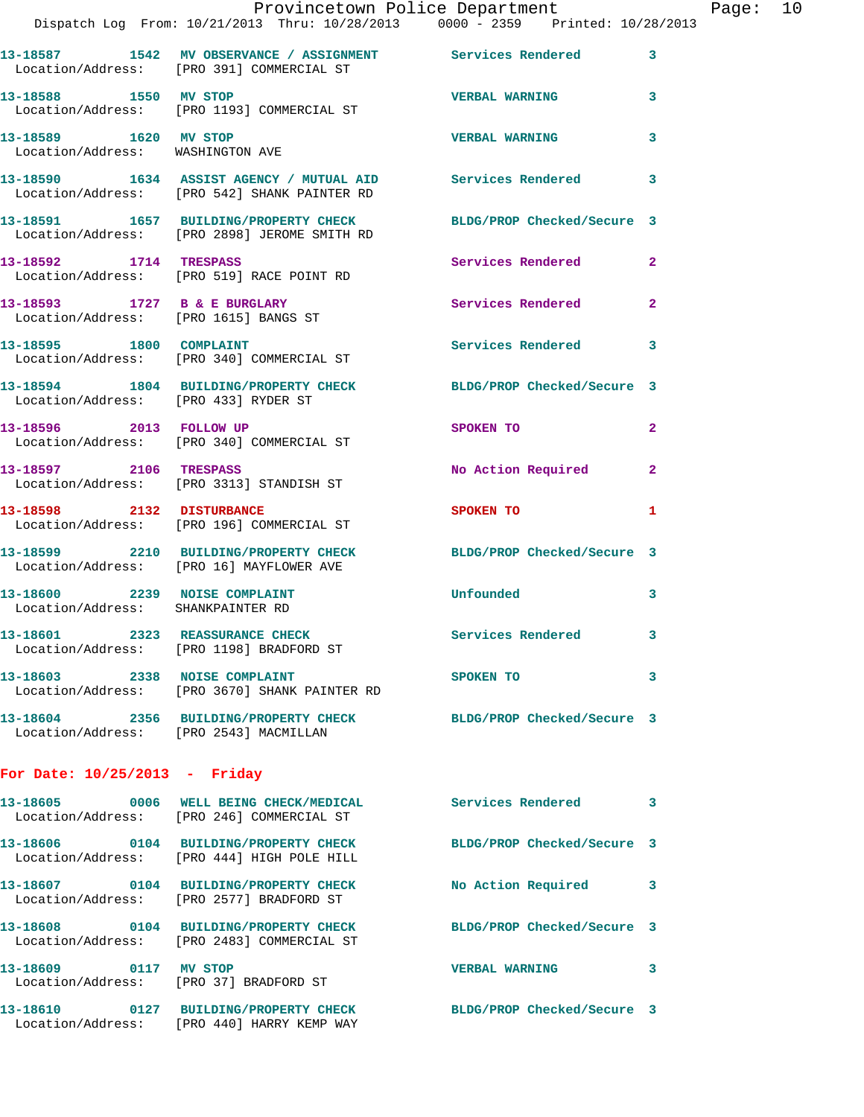| Provincetown Police Department    |                                     |  | Page: 10 |  |
|-----------------------------------|-------------------------------------|--|----------|--|
| From: 10/21/2013 Thru: 10/28/2013 | $0000 - 2359$ Printed: $10/28/2013$ |  |          |  |

|                                                                    | Dispatch Log From: 10/21/2013 Thru: 10/28/2013 0000 - 2359 Printed: 10/28/2013                             |                            |                |
|--------------------------------------------------------------------|------------------------------------------------------------------------------------------------------------|----------------------------|----------------|
|                                                                    | 13-18587 1542 MV OBSERVANCE / ASSIGNMENT Services Rendered<br>Location/Address: [PRO 391] COMMERCIAL ST    |                            | 3              |
| 13-18588 1550 MV STOP                                              | Location/Address: [PRO 1193] COMMERCIAL ST                                                                 | <b>VERBAL WARNING</b>      | 3              |
| 13-18589 1620 MV STOP<br>Location/Address: WASHINGTON AVE          |                                                                                                            | <b>VERBAL WARNING</b>      | 3              |
|                                                                    | 13-18590 1634 ASSIST AGENCY / MUTUAL AID Services Rendered<br>Location/Address: [PRO 542] SHANK PAINTER RD |                            | 3              |
|                                                                    | 13-18591 1657 BUILDING/PROPERTY CHECK<br>Location/Address: [PRO 2898] JEROME SMITH RD                      | BLDG/PROP Checked/Secure 3 |                |
| 13-18592 1714 TRESPASS                                             | Location/Address: [PRO 519] RACE POINT RD                                                                  | Services Rendered          | $\overline{2}$ |
|                                                                    | 13-18593 1727 B & E BURGLARY<br>Location/Address: [PRO 1615] BANGS ST                                      | Services Rendered          | $\overline{a}$ |
|                                                                    | 13-18595 1800 COMPLAINT<br>Location/Address: [PRO 340] COMMERCIAL ST                                       | <b>Services Rendered</b>   | 3              |
| Location/Address: [PRO 433] RYDER ST                               | 13-18594 1804 BUILDING/PROPERTY CHECK BLDG/PROP Checked/Secure 3                                           |                            |                |
|                                                                    | 13-18596 2013 FOLLOW UP<br>Location/Address: [PRO 340] COMMERCIAL ST                                       | SPOKEN TO                  | $\mathbf{2}$   |
| 13-18597 2106 TRESPASS                                             | Location/Address: [PRO 3313] STANDISH ST                                                                   | No Action Required         | $\overline{2}$ |
|                                                                    | 13-18598 2132 DISTURBANCE<br>Location/Address: [PRO 196] COMMERCIAL ST                                     | SPOKEN TO                  | 1              |
|                                                                    | 13-18599 2210 BUILDING/PROPERTY CHECK<br>Location/Address: [PRO 16] MAYFLOWER AVE                          | BLDG/PROP Checked/Secure 3 |                |
| 13-18600 2239 NOISE COMPLAINT<br>Location/Address: SHANKPAINTER RD |                                                                                                            | Unfounded                  | 3              |
| 13-18601 2323 REASSURANCE CHECK                                    | Location/Address: [PRO 1198] BRADFORD ST                                                                   | <b>Services Rendered</b>   | 3              |
|                                                                    | 13-18603 2338 NOISE COMPLAINT<br>Location/Address: [PRO 3670] SHANK PAINTER RD                             | <b>SPOKEN TO</b>           | 3              |
|                                                                    | 13-18604 2356 BUILDING/PROPERTY CHECK<br>Location/Address: [PRO 2543] MACMILLAN                            | BLDG/PROP Checked/Secure 3 |                |
| For Date: $10/25/2013$ - Friday                                    |                                                                                                            |                            |                |
|                                                                    | 13-18605 0006 WELL BEING CHECK/MEDICAL<br>Location/Address: [PRO 246] COMMERCIAL ST                        | <b>Services Rendered</b>   | 3              |
|                                                                    | 13-18606 0104 BUILDING/PROPERTY CHECK<br>Location/Address: [PRO 444] HIGH POLE HILL                        | BLDG/PROP Checked/Secure 3 |                |
|                                                                    | 13-18607 0104 BUILDING/PROPERTY CHECK<br>Location/Address: [PRO 2577] BRADFORD ST                          | No Action Required         | 3              |
|                                                                    | 13-18608 0104 BUILDING/PROPERTY CHECK<br>Location/Address: [PRO 2483] COMMERCIAL ST                        | BLDG/PROP Checked/Secure 3 |                |
| 13-18609 0117 MV STOP                                              | Location/Address: [PRO 37] BRADFORD ST                                                                     | <b>VERBAL WARNING</b>      | 3              |

**13-18610 0127 BUILDING/PROPERTY CHECK BLDG/PROP Checked/Secure 3**  Location/Address: [PRO 440] HARRY KEMP WAY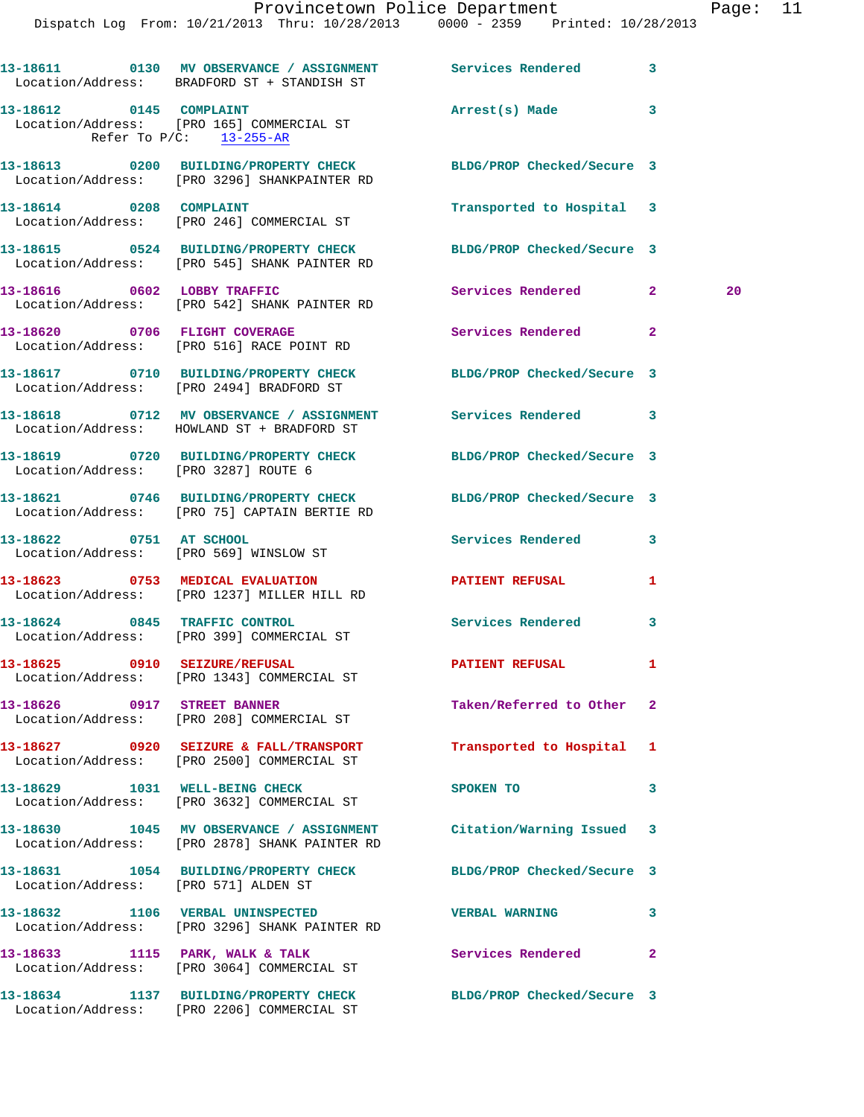|                                      | 13-18611 0130 MV OBSERVANCE / ASSIGNMENT Services Rendered 3<br>Location/Address: BRADFORD ST + STANDISH ST      |                            |                |    |
|--------------------------------------|------------------------------------------------------------------------------------------------------------------|----------------------------|----------------|----|
|                                      | 13-18612 0145 COMPLAINT<br>Location/Address: [PRO 165] COMMERCIAL ST<br>Refer To P/C: 13-255-AR                  | Arrest(s) Made 3           |                |    |
|                                      | 13-18613 0200 BUILDING/PROPERTY CHECK BLDG/PROP Checked/Secure 3<br>Location/Address: [PRO 3296] SHANKPAINTER RD |                            |                |    |
| 13-18614 0208 COMPLAINT              | Location/Address: [PRO 246] COMMERCIAL ST                                                                        | Transported to Hospital 3  |                |    |
|                                      | 13-18615 0524 BUILDING/PROPERTY CHECK<br>Location/Address: [PRO 545] SHANK PAINTER RD                            | BLDG/PROP Checked/Secure 3 |                |    |
|                                      | 13-18616 0602 LOBBY TRAFFIC<br>Location/Address: [PRO 542] SHANK PAINTER RD                                      | Services Rendered 2        |                | 20 |
| 13-18620 0706 FLIGHT COVERAGE        | Location/Address: [PRO 516] RACE POINT RD                                                                        | Services Rendered          | $\overline{2}$ |    |
|                                      | 13-18617 0710 BUILDING/PROPERTY CHECK<br>Location/Address: [PRO 2494] BRADFORD ST                                | BLDG/PROP Checked/Secure 3 |                |    |
|                                      | 13-18618 0712 MV OBSERVANCE / ASSIGNMENT Services Rendered 3<br>Location/Address: HOWLAND ST + BRADFORD ST       |                            |                |    |
| Location/Address: [PRO 3287] ROUTE 6 | 13-18619 0720 BUILDING/PROPERTY CHECK BLDG/PROP Checked/Secure 3                                                 |                            |                |    |
|                                      | 13-18621 0746 BUILDING/PROPERTY CHECK BLDG/PROP Checked/Secure 3<br>Location/Address: [PRO 75] CAPTAIN BERTIE RD |                            |                |    |
| 13-18622 0751 AT SCHOOL              | Location/Address: [PRO 569] WINSLOW ST                                                                           | Services Rendered 3        |                |    |
|                                      | 13-18623 0753 MEDICAL EVALUATION<br>Location/Address: [PRO 1237] MILLER HILL RD                                  | <b>PATIENT REFUSAL</b>     | 1              |    |
| 13-18624 0845 TRAFFIC CONTROL        | Location/Address: [PRO 399] COMMERCIAL ST                                                                        | <b>Services Rendered</b>   | 3              |    |
| 13-18625 0910 SEIZURE/REFUSAL        | Location/Address: [PRO 1343] COMMERCIAL ST                                                                       | <b>PATIENT REFUSAL</b>     | 1              |    |
| 13-18626 0917 STREET BANNER          | Location/Address: [PRO 208] COMMERCIAL ST                                                                        | Taken/Referred to Other 2  |                |    |
|                                      | 13-18627 0920 SEIZURE & FALL/TRANSPORT<br>Location/Address: [PRO 2500] COMMERCIAL ST                             | Transported to Hospital 1  |                |    |
|                                      | 13-18629 1031 WELL-BEING CHECK<br>Location/Address: [PRO 3632] COMMERCIAL ST                                     | SPOKEN TO                  | 3              |    |
|                                      | 13-18630 1045 MV OBSERVANCE / ASSIGNMENT<br>Location/Address: [PRO 2878] SHANK PAINTER RD                        | Citation/Warning Issued 3  |                |    |
| Location/Address: [PRO 571] ALDEN ST | 13-18631 1054 BUILDING/PROPERTY CHECK                                                                            | BLDG/PROP Checked/Secure 3 |                |    |
|                                      | 13-18632 1106 VERBAL UNINSPECTED<br>Location/Address: [PRO 3296] SHANK PAINTER RD                                | <b>VERBAL WARNING</b>      | 3              |    |
| 13-18633 1115 PARK, WALK & TALK      | Location/Address: [PRO 3064] COMMERCIAL ST                                                                       | Services Rendered          | $\overline{2}$ |    |
|                                      | 13-18634 1137 BUILDING/PROPERTY CHECK<br>Location/Address: [PRO 2206] COMMERCIAL ST                              | BLDG/PROP Checked/Secure 3 |                |    |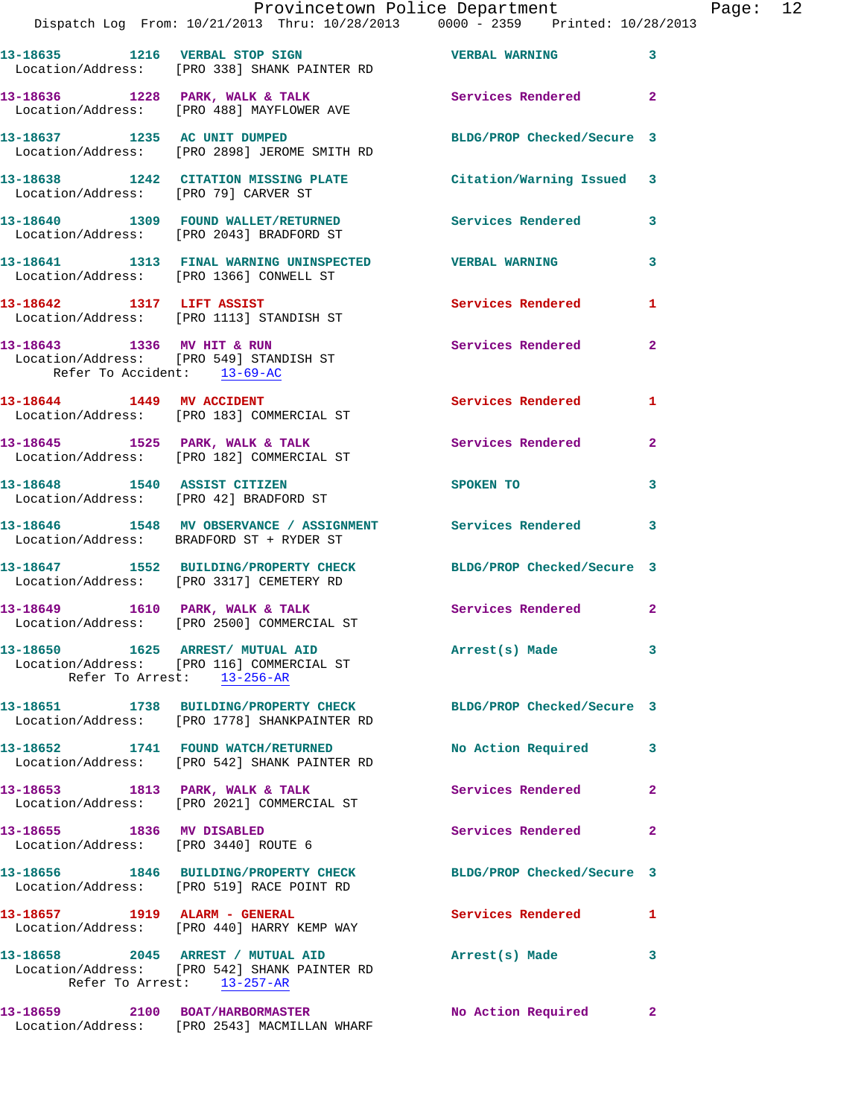|                                                                   | Dispatch Log From: 10/21/2013 Thru: 10/28/2013 0000 - 2359 Printed: 10/28/2013                                  | Provincetown Police Department Page: 12 |                |  |
|-------------------------------------------------------------------|-----------------------------------------------------------------------------------------------------------------|-----------------------------------------|----------------|--|
|                                                                   | 13-18635 1216 VERBAL STOP SIGN NERBAL WERBAL WARNING<br>Location/Address: [PRO 338] SHANK PAINTER RD            |                                         | $\mathbf{3}$   |  |
|                                                                   | 13-18636 1228 PARK, WALK & TALK 1988 Services Rendered 2<br>Location/Address: [PRO 488] MAYFLOWER AVE           |                                         |                |  |
|                                                                   | 13-18637 1235 AC UNIT DUMPED<br>Location/Address: [PRO 2898] JEROME SMITH RD                                    | BLDG/PROP Checked/Secure 3              |                |  |
|                                                                   | 13-18638 1242 CITATION MISSING PLATE Citation/Warning Issued 3<br>Location/Address: [PRO 79] CARVER ST          |                                         |                |  |
|                                                                   | 13-18640 1309 FOUND WALLET/RETURNED Services Rendered 3<br>Location/Address: [PRO 2043] BRADFORD ST             |                                         |                |  |
|                                                                   | 13-18641 1313 FINAL WARNING UNINSPECTED VERBAL WARNING<br>Location/Address: [PRO 1366] CONWELL ST               |                                         | 3              |  |
|                                                                   | 13-18642 1317 LIFT ASSIST<br>Location/Address: [PRO 1113] STANDISH ST                                           | Services Rendered 1                     |                |  |
| Refer To Accident: 13-69-AC                                       | 13-18643 1336 MV HIT & RUN<br>Location/Address: [PRO 549] STANDISH ST                                           | Services Rendered                       | $\overline{2}$ |  |
|                                                                   | 13-18644 1449 MV ACCIDENT<br>Location/Address: [PRO 183] COMMERCIAL ST                                          | Services Rendered 1                     |                |  |
|                                                                   | 13-18645 1525 PARK, WALK & TALK 1988 Services Rendered<br>Location/Address: [PRO 182] COMMERCIAL ST             |                                         | $\mathbf{2}$   |  |
|                                                                   | 13-18648 1540 ASSIST CITIZEN<br>Location/Address: [PRO 42] BRADFORD ST                                          | SPOKEN TO                               | 3              |  |
|                                                                   | 13-18646 1548 MV OBSERVANCE / ASSIGNMENT Services Rendered 3<br>Location/Address: BRADFORD ST + RYDER ST        |                                         |                |  |
|                                                                   | 13-18647 1552 BUILDING/PROPERTY CHECK BLDG/PROP Checked/Secure 3<br>Location/Address: [PRO 3317] CEMETERY RD    |                                         |                |  |
|                                                                   | 13-18649 1610 PARK, WALK & TALK 1999 Services Rendered 2<br>Location/Address: [PRO 2500] COMMERCIAL ST          |                                         |                |  |
|                                                                   | 13-18650 1625 ARREST/MUTUAL AID<br>Location/Address: [PRO 116] COMMERCIAL ST<br>Refer To Arrest: 13-256-AR      | Arrest(s) Made                          | 3              |  |
|                                                                   | 13-18651 1738 BUILDING/PROPERTY CHECK<br>Location/Address: [PRO 1778] SHANKPAINTER RD                           | BLDG/PROP Checked/Secure 3              |                |  |
|                                                                   | 13-18652 1741 FOUND WATCH/RETURNED<br>Location/Address: [PRO 542] SHANK PAINTER RD                              | No Action Required 3                    |                |  |
|                                                                   | 13-18653 1813 PARK, WALK & TALK<br>Location/Address: [PRO 2021] COMMERCIAL ST                                   | <b>Services Rendered</b>                | $\mathbf{2}$   |  |
| 13-18655 1836 MV DISABLED<br>Location/Address: [PRO 3440] ROUTE 6 |                                                                                                                 | Services Rendered                       | $\overline{2}$ |  |
|                                                                   | 13-18656 1846 BUILDING/PROPERTY CHECK<br>Location/Address: [PRO 519] RACE POINT RD                              | BLDG/PROP Checked/Secure 3              |                |  |
|                                                                   | 13-18657 1919 ALARM - GENERAL<br>Location/Address: [PRO 440] HARRY KEMP WAY                                     | Services Rendered                       | $\mathbf{1}$   |  |
|                                                                   | 13-18658 2045 ARREST / MUTUAL AID<br>Location/Address: [PRO 542] SHANK PAINTER RD<br>Refer To Arrest: 13-257-AR | Arrest(s) Made                          | 3              |  |
|                                                                   | 13-18659 2100 BOAT/HARBORMASTER<br>Location/Address: [PRO 2543] MACMILLAN WHARF                                 | No Action Required                      | $\mathbf{2}$   |  |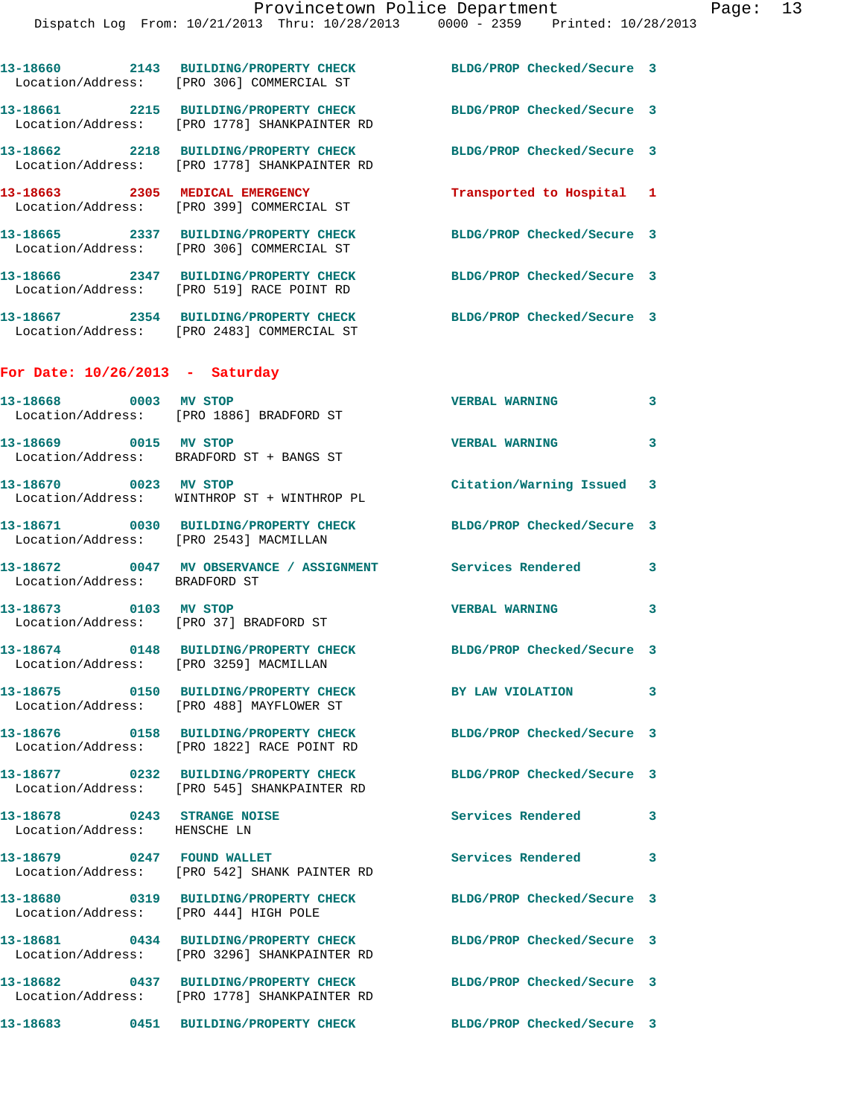|                                                                 | Dispatch Log From: 10/21/2013 Thru: 10/28/2013 0000 - 2359 Printed: 10/28/2013                                   |                            |   |
|-----------------------------------------------------------------|------------------------------------------------------------------------------------------------------------------|----------------------------|---|
|                                                                 | 13-18660 2143 BUILDING/PROPERTY CHECK<br>Location/Address: [PRO 306] COMMERCIAL ST                               | BLDG/PROP Checked/Secure 3 |   |
|                                                                 | 13-18661 2215 BUILDING/PROPERTY CHECK<br>Location/Address: [PRO 1778] SHANKPAINTER RD                            | BLDG/PROP Checked/Secure 3 |   |
|                                                                 | 13-18662 2218 BUILDING/PROPERTY CHECK<br>Location/Address: [PRO 1778] SHANKPAINTER RD                            | BLDG/PROP Checked/Secure 3 |   |
|                                                                 | 13-18663 2305 MEDICAL EMERGENCY<br>Location/Address: [PRO 399] COMMERCIAL ST                                     | Transported to Hospital 1  |   |
|                                                                 | 13-18665 2337 BUILDING/PROPERTY CHECK<br>Location/Address: [PRO 306] COMMERCIAL ST                               | BLDG/PROP Checked/Secure 3 |   |
|                                                                 | 13-18666 2347 BUILDING/PROPERTY CHECK<br>Location/Address: [PRO 519] RACE POINT RD                               | BLDG/PROP Checked/Secure 3 |   |
|                                                                 | 13-18667 2354 BUILDING/PROPERTY CHECK<br>Location/Address: [PRO 2483] COMMERCIAL ST                              | BLDG/PROP Checked/Secure 3 |   |
| For Date: $10/26/2013$ - Saturday                               |                                                                                                                  |                            |   |
| 13-18668 0003 MV STOP                                           | Location/Address: [PRO 1886] BRADFORD ST                                                                         | <b>VERBAL WARNING</b>      | 3 |
|                                                                 | 13-18669 0015 MV STOP<br>Location/Address: BRADFORD ST + BANGS ST                                                | <b>VERBAL WARNING</b>      | 3 |
| 13-18670 0023 MV STOP                                           | Location/Address: WINTHROP ST + WINTHROP PL                                                                      | Citation/Warning Issued    | 3 |
| Location/Address: [PRO 2543] MACMILLAN                          | 13-18671 0030 BUILDING/PROPERTY CHECK                                                                            | BLDG/PROP Checked/Secure 3 |   |
| Location/Address: BRADFORD ST                                   | 13-18672 0047 MV OBSERVANCE / ASSIGNMENT Services Rendered                                                       |                            | 3 |
| 13-18673 0103 MV STOP<br>Location/Address: [PRO 37] BRADFORD ST |                                                                                                                  | <b>VERBAL WARNING</b>      | 3 |
| Location/Address: [PRO 3259] MACMILLAN                          | 13-18674 0148 BUILDING/PROPERTY CHECK                                                                            | BLDG/PROP Checked/Secure 3 |   |
|                                                                 | 13-18675 0150 BUILDING/PROPERTY CHECK<br>Location/Address: [PRO 488] MAYFLOWER ST                                | BY LAW VIOLATION           | 3 |
|                                                                 | 13-18676 0158 BUILDING/PROPERTY CHECK<br>Location/Address: [PRO 1822] RACE POINT RD                              | BLDG/PROP Checked/Secure 3 |   |
|                                                                 | 13-18677 0232 BUILDING/PROPERTY CHECK<br>Location/Address: [PRO 545] SHANKPAINTER RD                             | BLDG/PROP Checked/Secure 3 |   |
| 13-18678 0243 STRANGE NOISE<br>Location/Address: HENSCHE LN     |                                                                                                                  | Services Rendered          | 3 |
|                                                                 | 13-18679 0247 FOUND WALLET<br>Location/Address: [PRO 542] SHANK PAINTER RD                                       | <b>Services Rendered</b>   | 3 |
| Location/Address: [PRO 444] HIGH POLE                           | 13-18680 0319 BUILDING/PROPERTY CHECK                                                                            | BLDG/PROP Checked/Secure 3 |   |
|                                                                 | 13-18681 0434 BUILDING/PROPERTY CHECK<br>Location/Address: [PRO 3296] SHANKPAINTER RD                            | BLDG/PROP Checked/Secure 3 |   |
|                                                                 | 13-18682 0437 BUILDING/PROPERTY CHECK BLDG/PROP Checked/Secure 3<br>Location/Address: [PRO 1778] SHANKPAINTER RD |                            |   |
|                                                                 | 13-18683 0451 BUILDING/PROPERTY CHECK BLDG/PROP Checked/Secure 3                                                 |                            |   |
|                                                                 |                                                                                                                  |                            |   |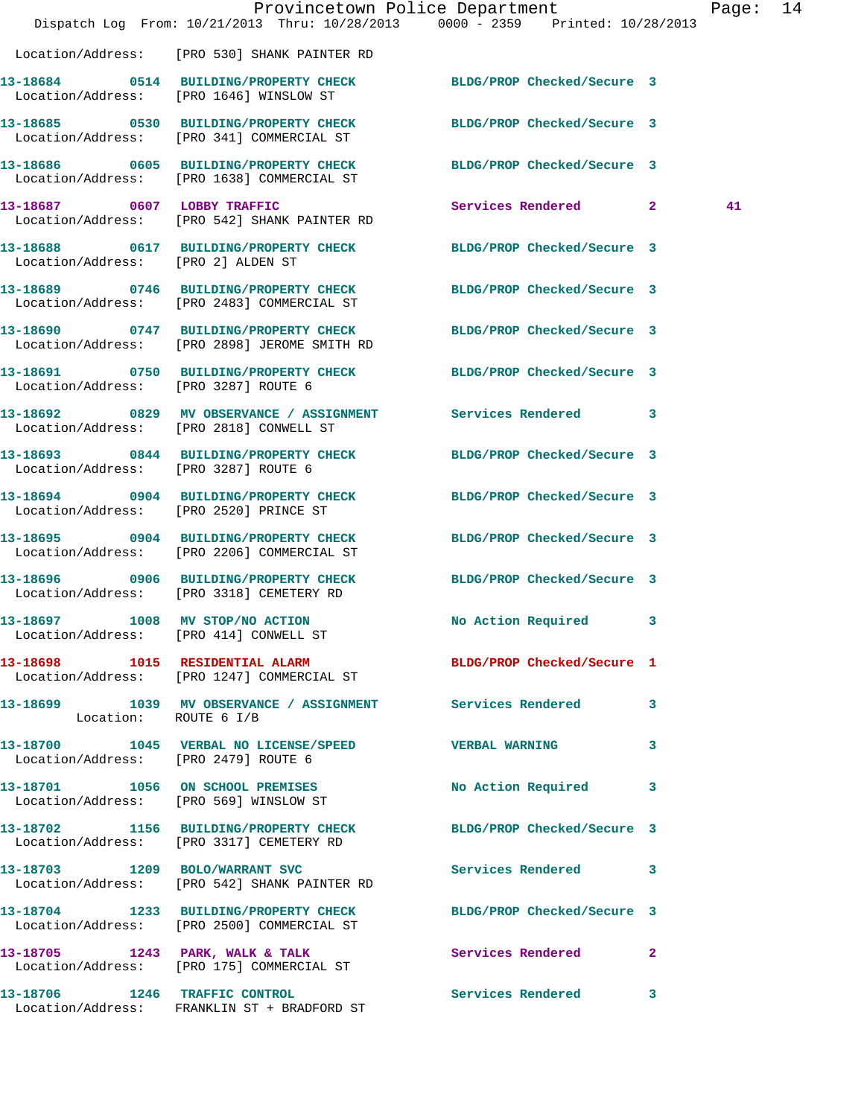|                                      |                                                                                       | Provincetown Police Department<br>Dispatch Log From: 10/21/2013 Thru: 10/28/2013 0000 - 2359 Printed: 10/28/2013 | Page: 14 |  |
|--------------------------------------|---------------------------------------------------------------------------------------|------------------------------------------------------------------------------------------------------------------|----------|--|
|                                      | Location/Address: [PRO 530] SHANK PAINTER RD                                          |                                                                                                                  |          |  |
|                                      | Location/Address: [PRO 1646] WINSLOW ST                                               | 13-18684 0514 BUILDING/PROPERTY CHECK BLDG/PROP Checked/Secure 3                                                 |          |  |
|                                      | 13-18685 0530 BUILDING/PROPERTY CHECK<br>Location/Address: [PRO 341] COMMERCIAL ST    | BLDG/PROP Checked/Secure 3                                                                                       |          |  |
|                                      | Location/Address: [PRO 1638] COMMERCIAL ST                                            | 13-18686 0605 BUILDING/PROPERTY CHECK BLDG/PROP Checked/Secure 3                                                 |          |  |
|                                      | 13-18687 0607 LOBBY TRAFFIC<br>Location/Address: [PRO 542] SHANK PAINTER RD           | Services Rendered 2                                                                                              | 41       |  |
| Location/Address: [PRO 2] ALDEN ST   |                                                                                       | 13-18688 0617 BUILDING/PROPERTY CHECK BLDG/PROP Checked/Secure 3                                                 |          |  |
|                                      | 13-18689 0746 BUILDING/PROPERTY CHECK<br>Location/Address: [PRO 2483] COMMERCIAL ST   | BLDG/PROP Checked/Secure 3                                                                                       |          |  |
|                                      | 13-18690 0747 BUILDING/PROPERTY CHECK<br>Location/Address: [PRO 2898] JEROME SMITH RD | BLDG/PROP Checked/Secure 3                                                                                       |          |  |
| Location/Address: [PRO 3287] ROUTE 6 |                                                                                       | 13-18691 0750 BUILDING/PROPERTY CHECK BLDG/PROP Checked/Secure 3                                                 |          |  |
|                                      | Location/Address: [PRO 2818] CONWELL ST                                               | 13-18692 0829 MV OBSERVANCE / ASSIGNMENT Services Rendered 3                                                     |          |  |
| Location/Address: [PRO 3287] ROUTE 6 |                                                                                       | 13-18693 0844 BUILDING/PROPERTY CHECK BLDG/PROP Checked/Secure 3                                                 |          |  |
|                                      | 13-18694 0904 BUILDING/PROPERTY CHECK<br>Location/Address: [PRO 2520] PRINCE ST       | BLDG/PROP Checked/Secure 3                                                                                       |          |  |
|                                      | 13-18695 0904 BUILDING/PROPERTY CHECK<br>Location/Address: [PRO 2206] COMMERCIAL ST   | BLDG/PROP Checked/Secure 3                                                                                       |          |  |
|                                      | 13-18696 0906 BUILDING/PROPERTY CHECK<br>Location/Address: [PRO 3318] CEMETERY RD     | BLDG/PROP Checked/Secure 3                                                                                       |          |  |
| 13-18697 1008 MV STOP/NO ACTION      | Location/Address: [PRO 414] CONWELL ST                                                | No Action Required 3                                                                                             |          |  |
|                                      | Location/Address: [PRO 1247] COMMERCIAL ST                                            | 13-18698 1015 RESIDENTIAL ALARM BLDG/PROP Checked/Secure 1                                                       |          |  |
| Location: ROUTE 6 I/B                |                                                                                       | 13-18699 1039 MV OBSERVANCE / ASSIGNMENT Services Rendered 3                                                     |          |  |
| Location/Address: [PRO 2479] ROUTE 6 |                                                                                       | 13-18700 1045 VERBAL NO LICENSE/SPEED VERBAL WARNING<br>$\overline{\mathbf{3}}$                                  |          |  |
|                                      | 13-18701 1056 ON SCHOOL PREMISES<br>Location/Address: [PRO 569] WINSLOW ST            | No Action Required 3                                                                                             |          |  |
|                                      | 13-18702 1156 BUILDING/PROPERTY CHECK<br>Location/Address: [PRO 3317] CEMETERY RD     | BLDG/PROP Checked/Secure 3                                                                                       |          |  |
|                                      | 13-18703 1209 BOLO/WARRANT SVC<br>Location/Address: [PRO 542] SHANK PAINTER RD        | <b>Services Rendered</b> 3                                                                                       |          |  |
|                                      | 13-18704 1233 BUILDING/PROPERTY CHECK<br>Location/Address: [PRO 2500] COMMERCIAL ST   | BLDG/PROP Checked/Secure 3                                                                                       |          |  |
|                                      | Location/Address: [PRO 175] COMMERCIAL ST                                             | 13-18705 1243 PARK, WALK & TALK 6 Services Rendered 2                                                            |          |  |
|                                      | 13-18706 1246 TRAFFIC CONTROL<br>Location/Address: FRANKLIN ST + BRADFORD ST          | Services Rendered 3                                                                                              |          |  |
|                                      |                                                                                       |                                                                                                                  |          |  |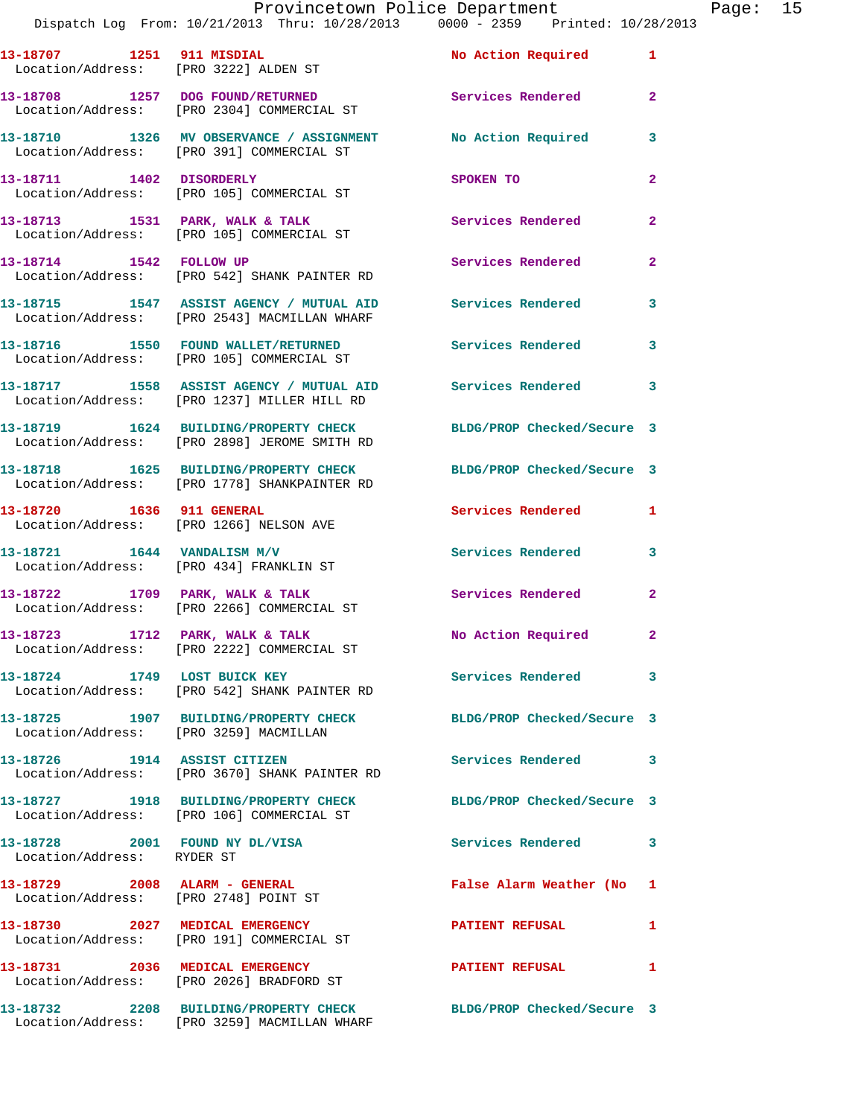Provincetown Police Department<br>13 Thru: 10/28/2013 0000 - 2359 Printed: 10/28/2013

|                                                              | Dispatch Log From: 10/21/2013 Thru: 10/28/2013 0000 - 2359 Printed: 10/28/2013                                   |                            |                |
|--------------------------------------------------------------|------------------------------------------------------------------------------------------------------------------|----------------------------|----------------|
|                                                              |                                                                                                                  | <b>No Action Required</b>  | $\mathbf{1}$   |
|                                                              | 13-18708 1257 DOG FOUND/RETURNED<br>Location/Address: [PRO 2304] COMMERCIAL ST                                   | Services Rendered          | $\mathbf{2}$   |
|                                                              | 13-18710 1326 MV OBSERVANCE / ASSIGNMENT NO Action Required<br>Location/Address: [PRO 391] COMMERCIAL ST         |                            | 3              |
| 13-18711 1402 DISORDERLY                                     | Location/Address: [PRO 105] COMMERCIAL ST                                                                        | SPOKEN TO                  | $\mathbf{2}$   |
|                                                              | 13-18713 1531 PARK, WALK & TALK<br>Location/Address: [PRO 105] COMMERCIAL ST                                     | Services Rendered          | $\overline{a}$ |
|                                                              | 13-18714 1542 FOLLOW UP<br>Location/Address: [PRO 542] SHANK PAINTER RD                                          | <b>Services Rendered</b>   | $\mathbf{2}$   |
|                                                              | 13-18715 1547 ASSIST AGENCY / MUTUAL AID Services Rendered<br>Location/Address: [PRO 2543] MACMILLAN WHARF       |                            | 3              |
|                                                              | 13-18716 1550 FOUND WALLET/RETURNED<br>Location/Address: [PRO 105] COMMERCIAL ST                                 | <b>Services Rendered</b>   | 3              |
|                                                              | 13-18717 1558 ASSIST AGENCY / MUTUAL AID Services Rendered<br>Location/Address: [PRO 1237] MILLER HILL RD        |                            | 3              |
|                                                              | 13-18719 1624 BUILDING/PROPERTY CHECK<br>Location/Address: [PRO 2898] JEROME SMITH RD                            | BLDG/PROP Checked/Secure 3 |                |
|                                                              | 13-18718 1625 BUILDING/PROPERTY CHECK BLDG/PROP Checked/Secure 3<br>Location/Address: [PRO 1778] SHANKPAINTER RD |                            |                |
|                                                              | 13-18720 1636 911 GENERAL<br>Location/Address: [PRO 1266] NELSON AVE                                             | <b>Services Rendered</b>   | 1              |
| 13-18721 1644 VANDALISM M/V                                  | Location/Address: [PRO 434] FRANKLIN ST                                                                          | <b>Services Rendered</b>   | 3              |
|                                                              | 13-18722 1709 PARK, WALK & TALK<br>Location/Address: [PRO 2266] COMMERCIAL ST                                    | <b>Services Rendered</b>   | $\overline{a}$ |
|                                                              | 13-18723 1712 PARK, WALK & TALK<br>Location/Address: [PRO 2222] COMMERCIAL ST                                    | No Action Required         | $\mathbf{2}$   |
|                                                              | 13-18724 1749 LOST BUICK KEY<br>Location/Address: [PRO 542] SHANK PAINTER RD                                     | Services Rendered          | 3              |
| Location/Address: [PRO 3259] MACMILLAN                       | 13-18725 1907 BUILDING/PROPERTY CHECK                                                                            | BLDG/PROP Checked/Secure 3 |                |
|                                                              | 13-18726 1914 ASSIST CITIZEN<br>Location/Address: [PRO 3670] SHANK PAINTER RD                                    | <b>Services Rendered</b>   | 3              |
|                                                              | 13-18727 1918 BUILDING/PROPERTY CHECK BLDG/PROP Checked/Secure 3<br>Location/Address: [PRO 106] COMMERCIAL ST    |                            |                |
| 13-18728 2001 FOUND NY DL/VISA<br>Location/Address: RYDER ST |                                                                                                                  | <b>Services Rendered</b>   | 3              |
| 13-18729 2008 ALARM - GENERAL                                | Location/Address: [PRO 2748] POINT ST                                                                            | False Alarm Weather (No    | 1              |
|                                                              | 13-18730 2027 MEDICAL EMERGENCY<br>Location/Address: [PRO 191] COMMERCIAL ST                                     | <b>PATIENT REFUSAL</b>     | 1              |
|                                                              | 13-18731 2036 MEDICAL EMERGENCY<br>Location/Address: [PRO 2026] BRADFORD ST                                      | <b>PATIENT REFUSAL</b>     | 1              |
|                                                              | 13-18732 2208 BUILDING/PROPERTY CHECK BLDG/PROP Checked/Secure 3<br>Location/Address: [PRO 3259] MACMILLAN WHARF |                            |                |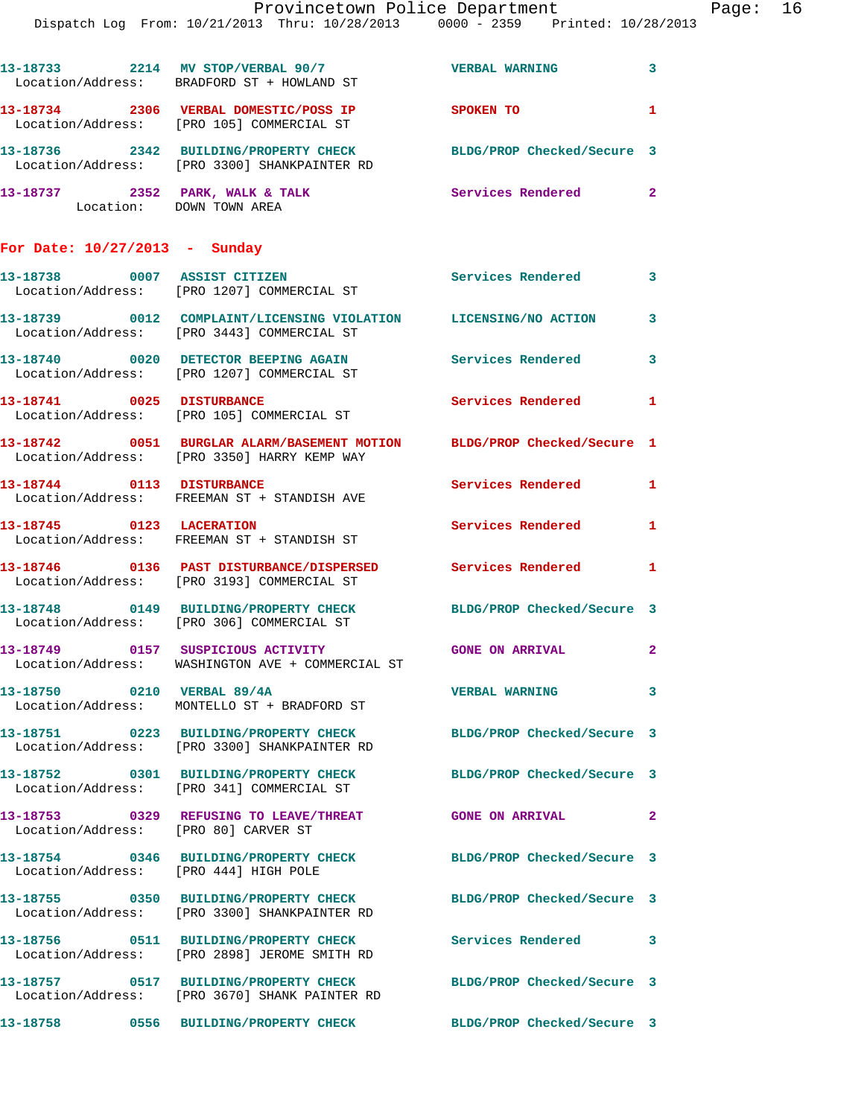|                                 | Provincetown Police Department                                                         |                            |   |
|---------------------------------|----------------------------------------------------------------------------------------|----------------------------|---|
|                                 | Dispatch Log From: 10/21/2013 Thru: 10/28/2013 0000 - 2359 Printed: 10/28/2013         |                            |   |
|                                 | 13-18733 2214 MV STOP/VERBAL 90/7<br>Location/Address: BRADFORD ST + HOWLAND ST        | <b>VERBAL WARNING</b>      | 3 |
|                                 | Location/Address: [PRO 105] COMMERCIAL ST                                              | SPOKEN TO                  | 1 |
|                                 | 13-18736  2342 BUILDING/PROPERTY CHECK<br>Location/Address: [PRO 3300] SHANKPAINTER RD | BLDG/PROP Checked/Secure 3 |   |
| 13-18737 2352 PARK, WALK & TALK | Location: DOWN TOWN AREA                                                               | Services Rendered          | 2 |
| For Date: $10/27/2013$ - Sunday |                                                                                        |                            |   |

| 13-18738<br>Location/Address: | 0007 | <b>ASSIST CITIZEN</b><br>[PRO 1207] COMMERCIAL ST         | Services Rendered   |  |
|-------------------------------|------|-----------------------------------------------------------|---------------------|--|
| 13-18739<br>Location/Address: | 0012 | COMPLAINT/LICENSING VIOLATION<br>[PRO 3443] COMMERCIAL ST | LICENSING/NO ACTION |  |
| 13-18740<br>Location/Address: | 0020 | DETECTOR BEEPING AGAIN<br>[PRO 1207] COMMERCIAL ST        | Services Rendered   |  |

**13-18741 0025 DISTURBANCE Services Rendered 1**  Location/Address: [PRO 105] COMMERCIAL ST **13-18742 0051 BURGLAR ALARM/BASEMENT MOTION BLDG/PROP Checked/Secure 1**  Location/Address: [PRO 3350] HARRY KEMP WAY 13-18744 0113 DISTURBANCE Services Rendered 1 Location/Address: FREEMAN ST + STANDISH AVE **13-18745 0123 LACERATION Services Rendered 1**  Location/Address: FREEMAN ST + STANDISH ST **13-18746 0136 PAST DISTURBANCE/DISPERSED Services Rendered 1**  Location/Address: [PRO 3193] COMMERCIAL ST **13-18748 0149 BUILDING/PROPERTY CHECK BLDG/PROP Checked/Secure 3**  Location/Address: [PRO 306] COMMERCIAL ST

**13-18749 0157 SUSPICIOUS ACTIVITY GONE ON ARRIVAL 2**  Location/Address: WASHINGTON AVE + COMMERCIAL ST

**13-18750 0210 VERBAL 89/4A VERBAL WARNING 3**  Location/Address: MONTELLO ST + BRADFORD ST

**13-18751 0223 BUILDING/PROPERTY CHECK BLDG/PROP Checked/Secure 3**  Location/Address: [PRO 3300] SHANKPAINTER RD

**13-18752 0301 BUILDING/PROPERTY CHECK BLDG/PROP Checked/Secure 3**  [PRO 341] COMMERCIAL ST

**13-18753 0329 REFUSING TO LEAVE/THREAT GONE ON ARRIVAL 2**  Location/Address: [PRO 80] CARVER ST

**13-18754 0346 BUILDING/PROPERTY CHECK BLDG/PROP Checked/Secure 3**  Location/Address: [PRO 444] HIGH POLE

**13-18755 0350 BUILDING/PROPERTY CHECK BLDG/PROP Checked/Secure 3**  Location/Address: [PRO 3300] SHANKPAINTER RD

**13-18756 0511 BUILDING/PROPERTY CHECK Services Rendered 3**  Location/Address: [PRO 2898] JEROME SMITH RD

**13-18757 0517 BUILDING/PROPERTY CHECK BLDG/PROP Checked/Secure 3**  Location/Address: [PRO 3670] SHANK PAINTER RD

**13-18758 0556 BUILDING/PROPERTY CHECK BLDG/PROP Checked/Secure 3** 

Page: 16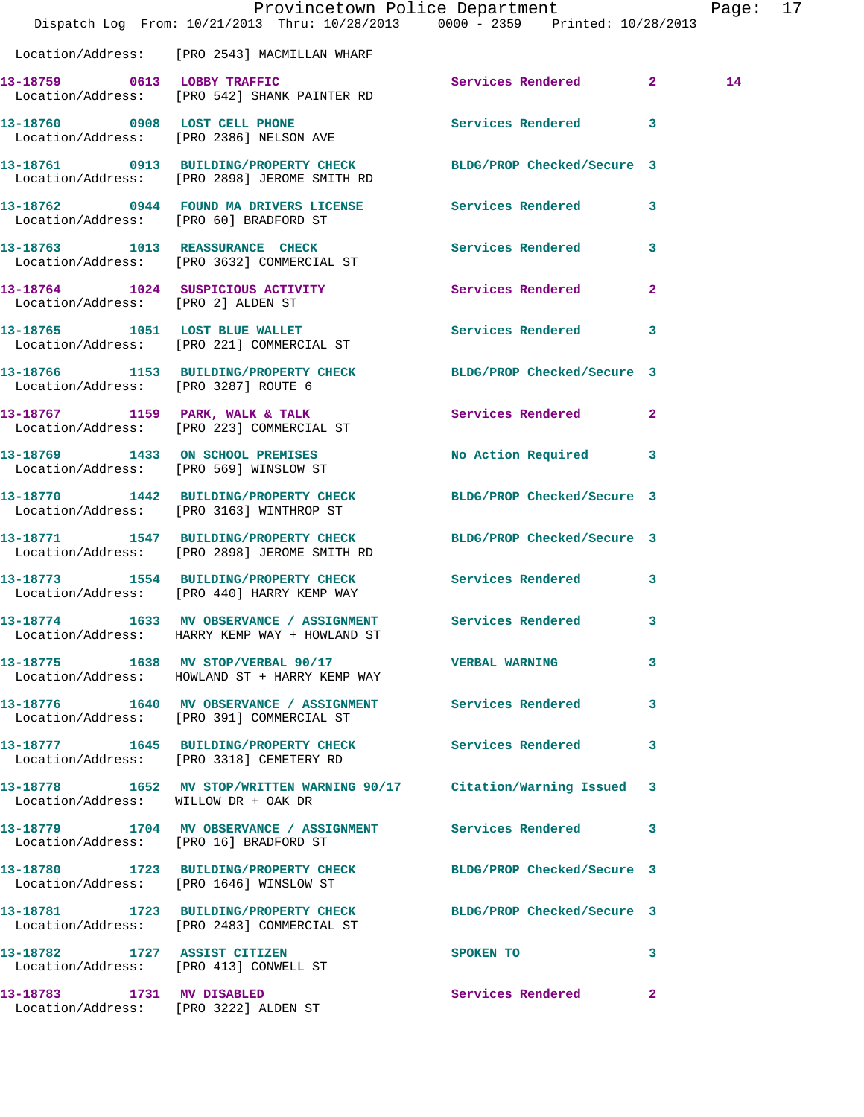|                                        | Dispatch Log From: 10/21/2013 Thru: 10/28/2013 0000 - 2359 Printed: 10/28/2013                                   | Provincetown Police Department    | Page: 17 |  |
|----------------------------------------|------------------------------------------------------------------------------------------------------------------|-----------------------------------|----------|--|
|                                        | Location/Address: [PRO 2543] MACMILLAN WHARF                                                                     |                                   |          |  |
|                                        | 13-18759 0613 LOBBY TRAFFIC<br>Location/Address: [PRO 542] SHANK PAINTER RD                                      | Services Rendered 2               | 14       |  |
|                                        | 13-18760 0908 LOST CELL PHONE<br>Location/Address: [PRO 2386] NELSON AVE                                         | Services Rendered 3               |          |  |
|                                        | 13-18761 0913 BUILDING/PROPERTY CHECK BLDG/PROP Checked/Secure 3<br>Location/Address: [PRO 2898] JEROME SMITH RD |                                   |          |  |
| Location/Address: [PRO 60] BRADFORD ST | 13-18762 0944 FOUND MA DRIVERS LICENSE Services Rendered 3                                                       |                                   |          |  |
|                                        | 13-18763 1013 REASSURANCE CHECK 1 Services Rendered 3<br>Location/Address: [PRO 3632] COMMERCIAL ST              |                                   |          |  |
| Location/Address: [PRO 2] ALDEN ST     | 13-18764 1024 SUSPICIOUS ACTIVITY                                                                                | Services Rendered 2               |          |  |
|                                        | 13-18765 1051 LOST BLUE WALLET<br>Location/Address: [PRO 221] COMMERCIAL ST                                      | Services Rendered<br>$\mathbf{3}$ |          |  |
| Location/Address: [PRO 3287] ROUTE 6   | 13-18766 1153 BUILDING/PROPERTY CHECK BLDG/PROP Checked/Secure 3                                                 |                                   |          |  |
|                                        | 13-18767 1159 PARK, WALK & TALK<br>Location/Address: [PRO 223] COMMERCIAL ST                                     | Services Rendered 2               |          |  |
|                                        | 13-18769 1433 ON SCHOOL PREMISES<br>Location/Address: [PRO 569] WINSLOW ST                                       | No Action Required 3              |          |  |
|                                        | 13-18770 1442 BUILDING/PROPERTY CHECK BLDG/PROP Checked/Secure 3<br>Location/Address: [PRO 3163] WINTHROP ST     |                                   |          |  |
|                                        | 13-18771 1547 BUILDING/PROPERTY CHECK BLDG/PROP Checked/Secure 3<br>Location/Address: [PRO 2898] JEROME SMITH RD |                                   |          |  |
|                                        | 13-18773 1554 BUILDING/PROPERTY CHECK Services Rendered 3<br>Location/Address: [PRO 440] HARRY KEMP WAY          |                                   |          |  |
|                                        | 13-18774 1633 MV OBSERVANCE / ASSIGNMENT Services Rendered 3<br>Location/Address: HARRY KEMP WAY + HOWLAND ST    |                                   |          |  |
|                                        | 13-18775 1638 MV STOP/VERBAL 90/17 STORE VERBAL WARNING<br>Location/Address: HOWLAND ST + HARRY KEMP WAY         | 3                                 |          |  |
|                                        | 13-18776 1640 MV OBSERVANCE / ASSIGNMENT Services Rendered 3<br>Location/Address: [PRO 391] COMMERCIAL ST        |                                   |          |  |
|                                        | 13-18777 1645 BUILDING/PROPERTY CHECK Services Rendered<br>Location/Address: [PRO 3318] CEMETERY RD              |                                   | 3        |  |
| Location/Address: WILLOW DR + OAK DR   | 13-18778 1652 MV STOP/WRITTEN WARNING 90/17 Citation/Warning Issued 3                                            |                                   |          |  |
| Location/Address: [PRO 16] BRADFORD ST | 13-18779 1704 MV OBSERVANCE / ASSIGNMENT Services Rendered 3                                                     |                                   |          |  |
|                                        | 13-18780 1723 BUILDING/PROPERTY CHECK BLDG/PROP Checked/Secure 3<br>Location/Address: [PRO 1646] WINSLOW ST      |                                   |          |  |
|                                        | 13-18781 1723 BUILDING/PROPERTY CHECK<br>Location/Address: [PRO 2483] COMMERCIAL ST                              | BLDG/PROP Checked/Secure 3        |          |  |
|                                        | 13-18782 1727 ASSIST CITIZEN<br>Location/Address: [PRO 413] CONWELL ST                                           | SPOKEN TO 3                       |          |  |
| 13-18783 1731 MV DISABLED              | Location/Address: [PRO 3222] ALDEN ST                                                                            | Services Rendered 2               |          |  |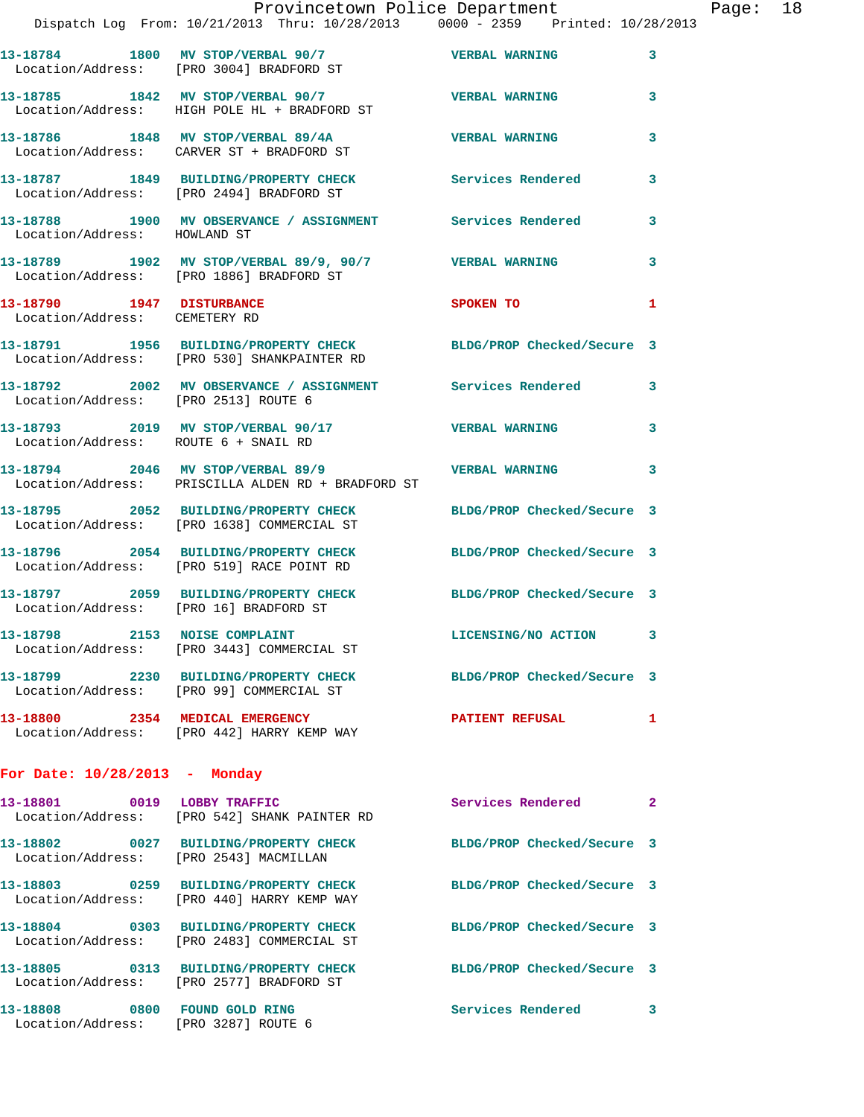|                                                            |                                                                                                                 | Provincetown Police Department |              | Page: 18 |  |
|------------------------------------------------------------|-----------------------------------------------------------------------------------------------------------------|--------------------------------|--------------|----------|--|
|                                                            | Dispatch Log From: 10/21/2013 Thru: 10/28/2013 0000 - 2359 Printed: 10/28/2013                                  |                                |              |          |  |
|                                                            | 13-18784 1800 MV STOP/VERBAL 90/7<br>Location/Address: [PRO 3004] BRADFORD ST                                   | VERBAL WARNING 3               |              |          |  |
|                                                            | 13-18785 1842 MV STOP/VERBAL 90/7 VERBAL WARNING<br>Location/Address: HIGH POLE HL + BRADFORD ST                |                                | $\mathbf{3}$ |          |  |
|                                                            | 13-18786 1848 MV STOP/VERBAL 89/4A VERBAL WARNING 3<br>Location/Address: CARVER ST + BRADFORD ST                |                                |              |          |  |
|                                                            | 13-18787 1849 BUILDING/PROPERTY CHECK Services Rendered<br>Location/Address: [PRO 2494] BRADFORD ST             |                                | 3            |          |  |
| Location/Address: HOWLAND ST                               | 13-18788 1900 MV OBSERVANCE / ASSIGNMENT Services Rendered 3                                                    |                                |              |          |  |
|                                                            | 13-18789 1902 MV STOP/VERBAL 89/9, 90/7 VERBAL WARNING<br>Location/Address: [PRO 1886] BRADFORD ST              |                                | 3            |          |  |
| 13-18790 1947 DISTURBANCE<br>Location/Address: CEMETERY RD |                                                                                                                 | SPOKEN TO                      | 1            |          |  |
|                                                            | 13-18791 1956 BUILDING/PROPERTY CHECK BLDG/PROP Checked/Secure 3<br>Location/Address: [PRO 530] SHANKPAINTER RD |                                |              |          |  |
| Location/Address: [PRO 2513] ROUTE 6                       | 13-18792 2002 MV OBSERVANCE / ASSIGNMENT Services Rendered 3                                                    |                                |              |          |  |
| Location/Address: ROUTE 6 + SNAIL RD                       | 13-18793 2019 MV STOP/VERBAL 90/17 VERBAL WARNING 3                                                             |                                |              |          |  |
|                                                            | 13-18794 2046 MV STOP/VERBAL 89/9 2046 VERBAL WARNING<br>Location/Address: PRISCILLA ALDEN RD + BRADFORD ST     |                                | 3            |          |  |
|                                                            | 13-18795 2052 BUILDING/PROPERTY CHECK BLDG/PROP Checked/Secure 3<br>Location/Address: [PRO 1638] COMMERCIAL ST  |                                |              |          |  |
|                                                            | 13-18796 2054 BUILDING/PROPERTY CHECK BLDG/PROP Checked/Secure 3<br>Location/Address: [PRO 519] RACE POINT RD   |                                |              |          |  |
| Location/Address: [PRO 16] BRADFORD ST                     | 13-18797 2059 BUILDING/PROPERTY CHECK BLDG/PROP Checked/Secure 3                                                |                                |              |          |  |
| 13-18798 2153 NOISE COMPLAINT                              | Location/Address: [PRO 3443] COMMERCIAL ST                                                                      | LICENSING/NO ACTION            | 3            |          |  |
|                                                            | 13-18799 2230 BUILDING/PROPERTY CHECK<br>Location/Address: [PRO 99] COMMERCIAL ST                               | BLDG/PROP Checked/Secure 3     |              |          |  |
|                                                            | 13-18800 2354 MEDICAL EMERGENCY<br>Location/Address: [PRO 442] HARRY KEMP WAY                                   | <b>PATIENT REFUSAL</b>         | 1            |          |  |
| For Date: $10/28/2013$ - Monday                            |                                                                                                                 |                                |              |          |  |
| 13-18801 0019 LOBBY TRAFFIC                                | Location/Address: [PRO 542] SHANK PAINTER RD                                                                    | Services Rendered              | 2            |          |  |
| Location/Address: [PRO 2543] MACMILLAN                     | 13-18802 0027 BUILDING/PROPERTY CHECK                                                                           | BLDG/PROP Checked/Secure 3     |              |          |  |

**13-18803 0259 BUILDING/PROPERTY CHECK BLDG/PROP Checked/Secure 3** 

**13-18804 0303 BUILDING/PROPERTY CHECK BLDG/PROP Checked/Secure 3** 

**13-18805 0313 BUILDING/PROPERTY CHECK BLDG/PROP Checked/Secure 3** 

**13-18808 0800 FOUND GOLD RING Services Rendered 3** 

Location/Address: [PRO 440] HARRY KEMP WAY

Location/Address: [PRO 2483] COMMERCIAL ST

Location/Address: [PRO 2577] BRADFORD ST

Location/Address: [PRO 3287] ROUTE 6